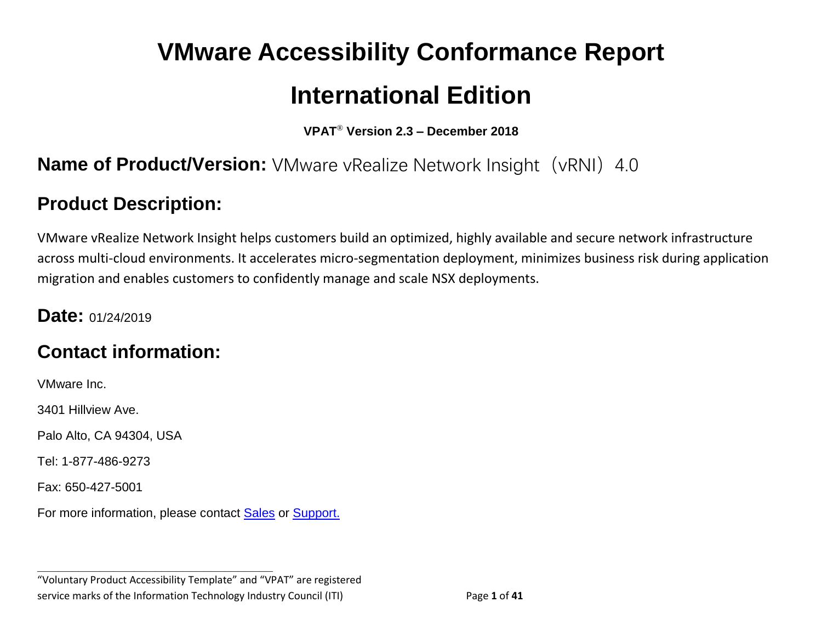# **VMware Accessibility Conformance Report International Edition**

**VPAT**® **Version 2.3 – December 2018**

## **Name of Product/Version:** VMware vRealize Network Insight (vRNI) 4.0

## **Product Description:**

VMware vRealize Network Insight helps customers build an optimized, highly available and secure network infrastructure across multi-cloud environments. It accelerates micro-segmentation deployment, minimizes business risk during application migration and enables customers to confidently manage and scale NSX deployments.

#### **Date:** 01/24/2019

# **Contact information:**

VMware Inc.

3401 Hillview Ave.

Palo Alto, CA 94304, USA

Tel: 1-877-486-9273

Fax: 650-427-5001

For more information, please contact [Sales](https://www.vmware.com/company/contact_sales.html) or [Support.](https://www.vmware.com/support/contacts.html)

**\_\_\_\_\_\_\_\_\_\_\_\_\_\_\_\_\_\_\_\_\_\_\_\_\_\_\_\_\_\_\_\_\_\_**

"Voluntary Product Accessibility Template" and "VPAT" are registered service marks of the Information Technology Industry Council (ITI) Page **1** of **41**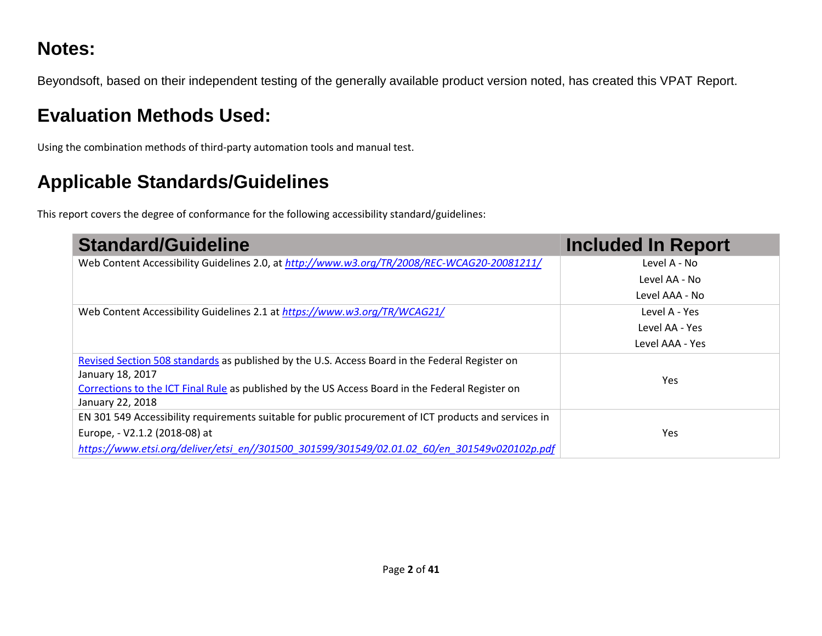# **Notes:**

Beyondsoft, based on their independent testing of the generally available product version noted, has created this VPAT Report.

# **Evaluation Methods Used:**

Using the combination methods of third-party automation tools and manual test.

# **Applicable Standards/Guidelines**

This report covers the degree of conformance for the following accessibility standard/guidelines:

| <b>Standard/Guideline</b>                                                                             | <b>Included In Report</b> |
|-------------------------------------------------------------------------------------------------------|---------------------------|
| Web Content Accessibility Guidelines 2.0, at http://www.w3.org/TR/2008/REC-WCAG20-20081211/           | Level A - No              |
|                                                                                                       | Level AA - No             |
|                                                                                                       | Level AAA - No            |
| Web Content Accessibility Guidelines 2.1 at https://www.w3.org/TR/WCAG21/                             | Level A - Yes             |
|                                                                                                       | Level AA - Yes            |
|                                                                                                       | Level AAA - Yes           |
| Revised Section 508 standards as published by the U.S. Access Board in the Federal Register on        |                           |
| January 18, 2017                                                                                      | <b>Yes</b>                |
| Corrections to the ICT Final Rule as published by the US Access Board in the Federal Register on      |                           |
| January 22, 2018                                                                                      |                           |
| EN 301 549 Accessibility requirements suitable for public procurement of ICT products and services in |                           |
| Europe, - V2.1.2 (2018-08) at                                                                         | Yes                       |
| https://www.etsi.org/deliver/etsi_en//301500_301599/301549/02.01.02_60/en_301549v020102p.pdf          |                           |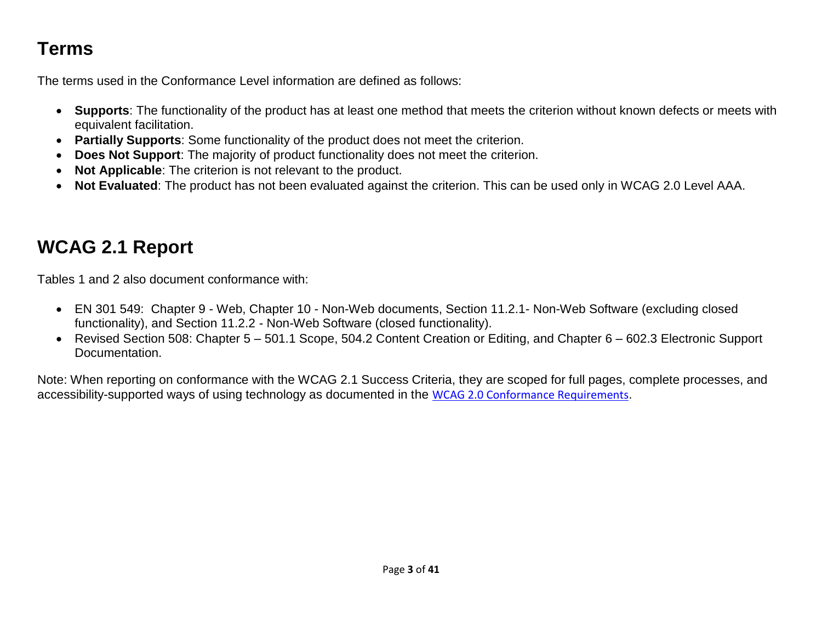# **Terms**

The terms used in the Conformance Level information are defined as follows:

- **Supports**: The functionality of the product has at least one method that meets the criterion without known defects or meets with equivalent facilitation.
- **Partially Supports**: Some functionality of the product does not meet the criterion.
- **Does Not Support**: The majority of product functionality does not meet the criterion.
- **Not Applicable**: The criterion is not relevant to the product.
- **Not Evaluated**: The product has not been evaluated against the criterion. This can be used only in WCAG 2.0 Level AAA.

# **WCAG 2.1 Report**

Tables 1 and 2 also document conformance with:

- EN 301 549: Chapter 9 Web, Chapter 10 Non-Web documents, Section 11.2.1- Non-Web Software (excluding closed functionality), and Section 11.2.2 - Non-Web Software (closed functionality).
- Revised Section 508: Chapter 5 501.1 Scope, 504.2 Content Creation or Editing, and Chapter 6 602.3 Electronic Support Documentation.

Note: When reporting on conformance with the WCAG 2.1 Success Criteria, they are scoped for full pages, complete processes, and accessibility-supported ways of using technology as documented in the [WCAG 2.0 Conformance Requirements](https://www.w3.org/TR/WCAG20/#conformance-reqs).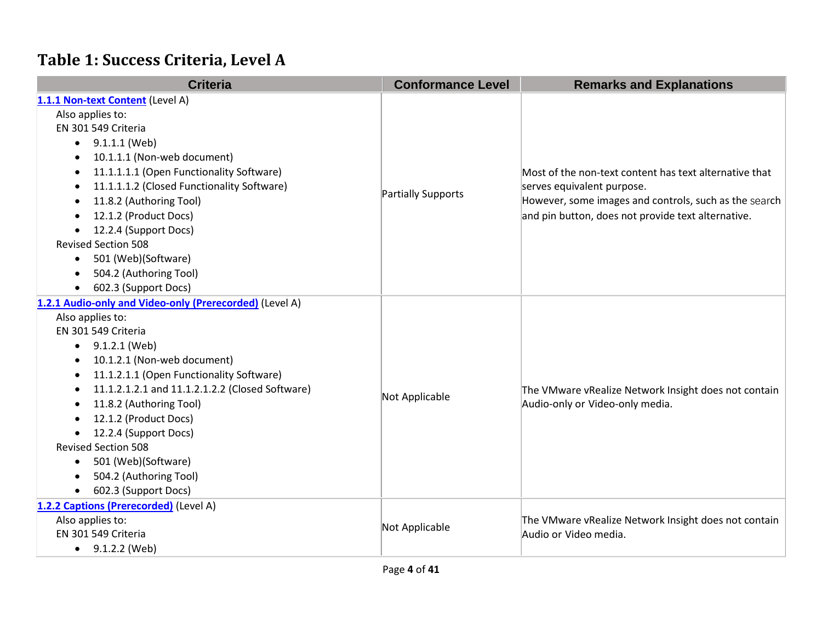# **Table 1: Success Criteria, Level A**

| <b>Criteria</b>                                         | <b>Conformance Level</b>  | <b>Remarks and Explanations</b>                                                         |
|---------------------------------------------------------|---------------------------|-----------------------------------------------------------------------------------------|
| 1.1.1 Non-text Content (Level A)                        |                           |                                                                                         |
| Also applies to:                                        |                           |                                                                                         |
| EN 301 549 Criteria                                     |                           |                                                                                         |
| 9.1.1.1 (Web)<br>$\bullet$                              |                           |                                                                                         |
| 10.1.1.1 (Non-web document)<br>$\bullet$                |                           |                                                                                         |
| 11.1.1.1.1 (Open Functionality Software)                |                           | Most of the non-text content has text alternative that                                  |
| 11.1.1.1.2 (Closed Functionality Software)              |                           | serves equivalent purpose.                                                              |
| 11.8.2 (Authoring Tool)<br>$\bullet$                    | <b>Partially Supports</b> | However, some images and controls, such as the search                                   |
| 12.1.2 (Product Docs)                                   |                           | and pin button, does not provide text alternative.                                      |
| 12.2.4 (Support Docs)                                   |                           |                                                                                         |
| <b>Revised Section 508</b>                              |                           |                                                                                         |
| 501 (Web)(Software)<br>$\bullet$                        |                           |                                                                                         |
| 504.2 (Authoring Tool)                                  |                           |                                                                                         |
| 602.3 (Support Docs)                                    |                           |                                                                                         |
| 1.2.1 Audio-only and Video-only (Prerecorded) (Level A) |                           |                                                                                         |
| Also applies to:                                        |                           |                                                                                         |
| EN 301 549 Criteria                                     |                           |                                                                                         |
| 9.1.2.1 (Web)<br>٠                                      |                           |                                                                                         |
| 10.1.2.1 (Non-web document)                             |                           |                                                                                         |
| 11.1.2.1.1 (Open Functionality Software)<br>$\bullet$   |                           |                                                                                         |
| 11.1.2.1.2.1 and 11.1.2.1.2.2 (Closed Software)<br>٠    | Not Applicable            | The VMware vRealize Network Insight does not contain<br>Audio-only or Video-only media. |
| 11.8.2 (Authoring Tool)                                 |                           |                                                                                         |
| 12.1.2 (Product Docs)                                   |                           |                                                                                         |
| 12.2.4 (Support Docs)<br>$\bullet$                      |                           |                                                                                         |
| <b>Revised Section 508</b>                              |                           |                                                                                         |
| 501 (Web)(Software)<br>$\bullet$                        |                           |                                                                                         |
| 504.2 (Authoring Tool)                                  |                           |                                                                                         |
| 602.3 (Support Docs)<br>$\bullet$                       |                           |                                                                                         |
| 1.2.2 Captions (Prerecorded) (Level A)                  |                           |                                                                                         |
| Also applies to:                                        | Not Applicable            | The VMware vRealize Network Insight does not contain                                    |
| EN 301 549 Criteria                                     |                           | Audio or Video media.                                                                   |
| 9.1.2.2 (Web)<br>$\bullet$                              |                           |                                                                                         |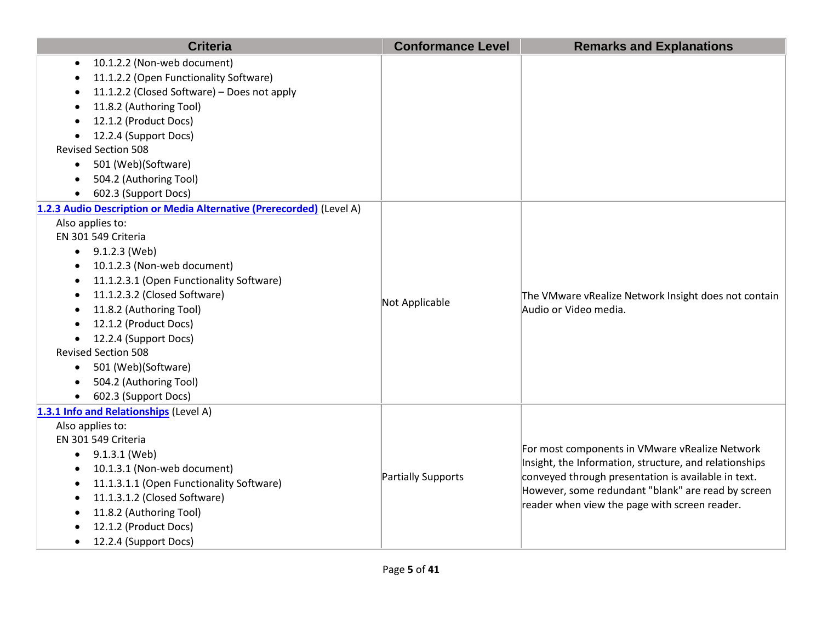| <b>Criteria</b>                                                                                                      | <b>Conformance Level</b> | <b>Remarks and Explanations</b>                        |
|----------------------------------------------------------------------------------------------------------------------|--------------------------|--------------------------------------------------------|
| 10.1.2.2 (Non-web document)<br>11.1.2.2 (Open Functionality Software)<br>11.1.2.2 (Closed Software) - Does not apply |                          |                                                        |
| 11.8.2 (Authoring Tool)                                                                                              |                          |                                                        |
| 12.1.2 (Product Docs)                                                                                                |                          |                                                        |
| 12.2.4 (Support Docs)                                                                                                |                          |                                                        |
| <b>Revised Section 508</b>                                                                                           |                          |                                                        |
| 501 (Web)(Software)<br>$\bullet$                                                                                     |                          |                                                        |
| 504.2 (Authoring Tool)                                                                                               |                          |                                                        |
| 602.3 (Support Docs)<br>$\bullet$                                                                                    |                          |                                                        |
| 1.2.3 Audio Description or Media Alternative (Prerecorded) (Level A)                                                 |                          |                                                        |
| Also applies to:                                                                                                     |                          |                                                        |
| EN 301 549 Criteria                                                                                                  |                          |                                                        |
| $\bullet$ 9.1.2.3 (Web)                                                                                              |                          |                                                        |
| 10.1.2.3 (Non-web document)<br>$\bullet$                                                                             |                          |                                                        |
| 11.1.2.3.1 (Open Functionality Software)<br>$\bullet$                                                                |                          |                                                        |
| 11.1.2.3.2 (Closed Software)                                                                                         | Not Applicable           | The VMware vRealize Network Insight does not contain   |
| 11.8.2 (Authoring Tool)                                                                                              |                          | Audio or Video media.                                  |
| 12.1.2 (Product Docs)                                                                                                |                          |                                                        |
| 12.2.4 (Support Docs)                                                                                                |                          |                                                        |
| <b>Revised Section 508</b>                                                                                           |                          |                                                        |
| 501 (Web)(Software)<br>$\bullet$                                                                                     |                          |                                                        |
| 504.2 (Authoring Tool)<br>$\bullet$                                                                                  |                          |                                                        |
| 602.3 (Support Docs)<br>$\bullet$                                                                                    |                          |                                                        |
| 1.3.1 Info and Relationships (Level A)                                                                               |                          |                                                        |
| Also applies to:<br>EN 301 549 Criteria                                                                              |                          |                                                        |
| 9.1.3.1 (Web)                                                                                                        |                          | For most components in VMware vRealize Network         |
| 10.1.3.1 (Non-web document)                                                                                          |                          | Insight, the Information, structure, and relationships |
| 11.1.3.1.1 (Open Functionality Software)                                                                             | Partially Supports       | conveyed through presentation is available in text.    |
| 11.1.3.1.2 (Closed Software)<br>$\bullet$                                                                            |                          | However, some redundant "blank" are read by screen     |
| 11.8.2 (Authoring Tool)                                                                                              |                          | reader when view the page with screen reader.          |
| 12.1.2 (Product Docs)                                                                                                |                          |                                                        |
| 12.2.4 (Support Docs)                                                                                                |                          |                                                        |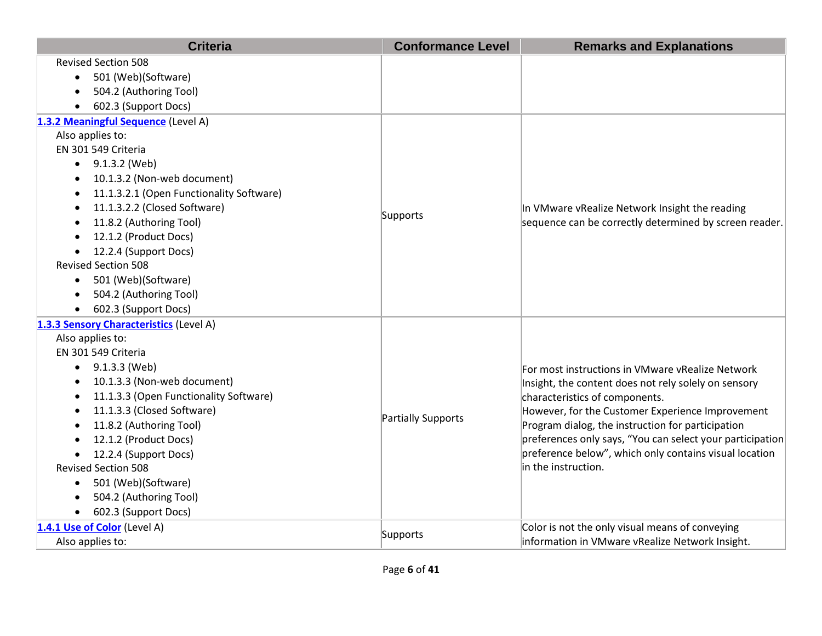| <b>Criteria</b>                          | <b>Conformance Level</b> | <b>Remarks and Explanations</b>                           |
|------------------------------------------|--------------------------|-----------------------------------------------------------|
| <b>Revised Section 508</b>               |                          |                                                           |
| 501 (Web)(Software)<br>$\bullet$         |                          |                                                           |
| 504.2 (Authoring Tool)                   |                          |                                                           |
| 602.3 (Support Docs)                     |                          |                                                           |
| 1.3.2 Meaningful Sequence (Level A)      |                          |                                                           |
| Also applies to:                         |                          |                                                           |
| EN 301 549 Criteria                      |                          |                                                           |
| $\bullet$ 9.1.3.2 (Web)                  |                          |                                                           |
| 10.1.3.2 (Non-web document)              |                          |                                                           |
| 11.1.3.2.1 (Open Functionality Software) |                          |                                                           |
| 11.1.3.2.2 (Closed Software)             | Supports                 | In VMware vRealize Network Insight the reading            |
| 11.8.2 (Authoring Tool)                  |                          | sequence can be correctly determined by screen reader.    |
| 12.1.2 (Product Docs)                    |                          |                                                           |
| 12.2.4 (Support Docs)                    |                          |                                                           |
| <b>Revised Section 508</b>               |                          |                                                           |
| 501 (Web)(Software)<br>$\bullet$         |                          |                                                           |
| 504.2 (Authoring Tool)<br>$\bullet$      |                          |                                                           |
| 602.3 (Support Docs)                     |                          |                                                           |
| 1.3.3 Sensory Characteristics (Level A)  |                          |                                                           |
| Also applies to:                         |                          |                                                           |
| EN 301 549 Criteria                      |                          |                                                           |
| 9.1.3.3 (Web)                            |                          | For most instructions in VMware vRealize Network          |
| 10.1.3.3 (Non-web document)              |                          | Insight, the content does not rely solely on sensory      |
| 11.1.3.3 (Open Functionality Software)   |                          | characteristics of components.                            |
| 11.1.3.3 (Closed Software)               | Partially Supports       | However, for the Customer Experience Improvement          |
| 11.8.2 (Authoring Tool)                  |                          | Program dialog, the instruction for participation         |
| 12.1.2 (Product Docs)                    |                          | preferences only says, "You can select your participation |
| 12.2.4 (Support Docs)                    |                          | preference below", which only contains visual location    |
| <b>Revised Section 508</b>               |                          | in the instruction.                                       |
| 501 (Web)(Software)<br>$\bullet$         |                          |                                                           |
| 504.2 (Authoring Tool)                   |                          |                                                           |
| 602.3 (Support Docs)                     |                          |                                                           |
| 1.4.1 Use of Color (Level A)             | Supports                 | Color is not the only visual means of conveying           |
| Also applies to:                         |                          | information in VMware vRealize Network Insight.           |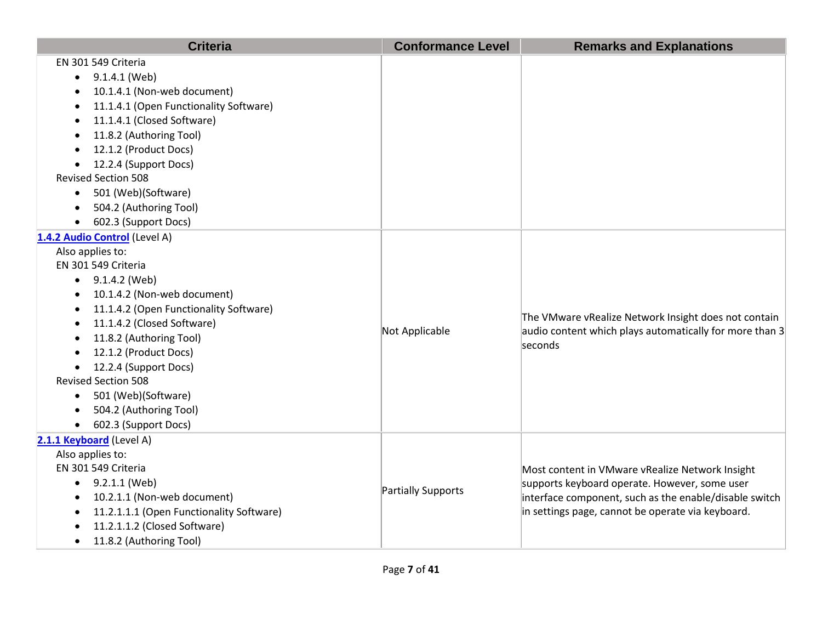| <b>Criteria</b>                                       | <b>Conformance Level</b> | <b>Remarks and Explanations</b>                         |
|-------------------------------------------------------|--------------------------|---------------------------------------------------------|
| EN 301 549 Criteria                                   |                          |                                                         |
| 9.1.4.1 (Web)                                         |                          |                                                         |
| 10.1.4.1 (Non-web document)                           |                          |                                                         |
| 11.1.4.1 (Open Functionality Software)                |                          |                                                         |
| 11.1.4.1 (Closed Software)<br>$\bullet$               |                          |                                                         |
| 11.8.2 (Authoring Tool)<br>$\bullet$                  |                          |                                                         |
| 12.1.2 (Product Docs)                                 |                          |                                                         |
| 12.2.4 (Support Docs)                                 |                          |                                                         |
| <b>Revised Section 508</b>                            |                          |                                                         |
| 501 (Web)(Software)                                   |                          |                                                         |
| 504.2 (Authoring Tool)                                |                          |                                                         |
| 602.3 (Support Docs)                                  |                          |                                                         |
| 1.4.2 Audio Control (Level A)                         |                          |                                                         |
| Also applies to:                                      |                          |                                                         |
| EN 301 549 Criteria                                   |                          |                                                         |
| $\bullet$ 9.1.4.2 (Web)                               |                          |                                                         |
| 10.1.4.2 (Non-web document)<br>$\bullet$              |                          |                                                         |
| 11.1.4.2 (Open Functionality Software)<br>$\bullet$   |                          | The VMware vRealize Network Insight does not contain    |
| 11.1.4.2 (Closed Software)                            | Not Applicable           | audio content which plays automatically for more than 3 |
| 11.8.2 (Authoring Tool)                               |                          | seconds                                                 |
| 12.1.2 (Product Docs)                                 |                          |                                                         |
| 12.2.4 (Support Docs)                                 |                          |                                                         |
| <b>Revised Section 508</b>                            |                          |                                                         |
| 501 (Web)(Software)<br>$\bullet$                      |                          |                                                         |
| 504.2 (Authoring Tool)                                |                          |                                                         |
| 602.3 (Support Docs)<br>$\bullet$                     |                          |                                                         |
| 2.1.1 Keyboard (Level A)                              |                          |                                                         |
| Also applies to:                                      |                          |                                                         |
| EN 301 549 Criteria                                   |                          | Most content in VMware vRealize Network Insight         |
| $\bullet$ 9.2.1.1 (Web)                               | Partially Supports       | supports keyboard operate. However, some user           |
| 10.2.1.1 (Non-web document)<br>$\bullet$              |                          | interface component, such as the enable/disable switch  |
| 11.2.1.1.1 (Open Functionality Software)<br>$\bullet$ |                          | in settings page, cannot be operate via keyboard.       |
| 11.2.1.1.2 (Closed Software)                          |                          |                                                         |
| 11.8.2 (Authoring Tool)                               |                          |                                                         |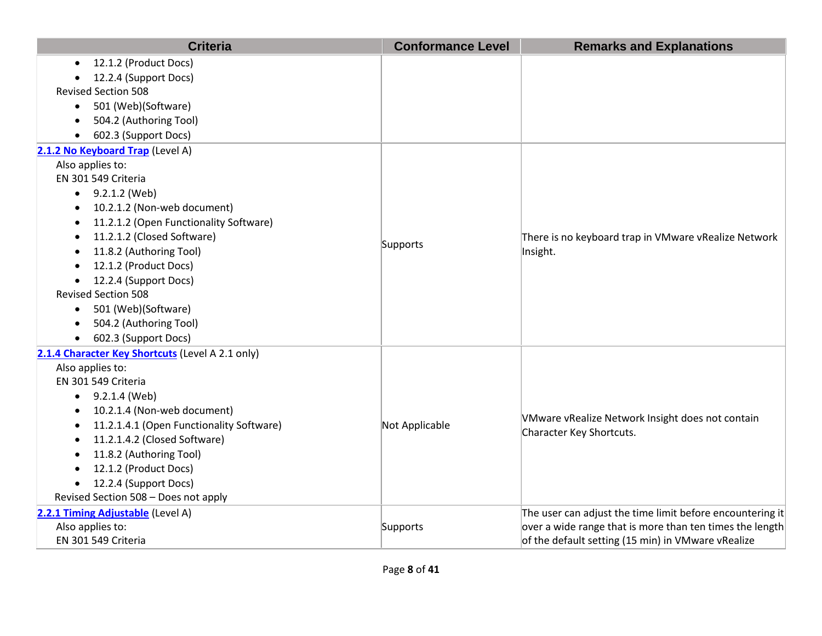|           | <b>Criteria</b>                                  | <b>Conformance Level</b> | <b>Remarks and Explanations</b>                           |
|-----------|--------------------------------------------------|--------------------------|-----------------------------------------------------------|
| $\bullet$ | 12.1.2 (Product Docs)                            |                          |                                                           |
|           | 12.2.4 (Support Docs)                            |                          |                                                           |
|           | <b>Revised Section 508</b>                       |                          |                                                           |
| $\bullet$ | 501 (Web)(Software)                              |                          |                                                           |
| $\bullet$ | 504.2 (Authoring Tool)                           |                          |                                                           |
| $\bullet$ | 602.3 (Support Docs)                             |                          |                                                           |
|           | 2.1.2 No Keyboard Trap (Level A)                 |                          |                                                           |
|           | Also applies to:                                 |                          |                                                           |
|           | EN 301 549 Criteria                              |                          |                                                           |
|           | 9.2.1.2 (Web)                                    |                          |                                                           |
|           | 10.2.1.2 (Non-web document)                      |                          |                                                           |
|           | 11.2.1.2 (Open Functionality Software)           |                          |                                                           |
|           | 11.2.1.2 (Closed Software)                       | Supports                 | There is no keyboard trap in VMware vRealize Network      |
| $\bullet$ | 11.8.2 (Authoring Tool)                          |                          | Insight.                                                  |
| $\bullet$ | 12.1.2 (Product Docs)                            |                          |                                                           |
| $\bullet$ | 12.2.4 (Support Docs)                            |                          |                                                           |
|           | <b>Revised Section 508</b>                       |                          |                                                           |
| $\bullet$ | 501 (Web)(Software)                              |                          |                                                           |
|           | 504.2 (Authoring Tool)                           |                          |                                                           |
|           | 602.3 (Support Docs)                             |                          |                                                           |
|           | 2.1.4 Character Key Shortcuts (Level A 2.1 only) |                          |                                                           |
|           | Also applies to:                                 |                          |                                                           |
|           | EN 301 549 Criteria                              |                          |                                                           |
|           | $\bullet$ 9.2.1.4 (Web)                          |                          |                                                           |
|           | 10.2.1.4 (Non-web document)                      |                          | VMware vRealize Network Insight does not contain          |
|           | 11.2.1.4.1 (Open Functionality Software)         | Not Applicable           | Character Key Shortcuts.                                  |
|           | 11.2.1.4.2 (Closed Software)                     |                          |                                                           |
|           | 11.8.2 (Authoring Tool)                          |                          |                                                           |
|           | 12.1.2 (Product Docs)                            |                          |                                                           |
| $\bullet$ | 12.2.4 (Support Docs)                            |                          |                                                           |
|           | Revised Section 508 - Does not apply             |                          |                                                           |
|           | 2.2.1 Timing Adjustable (Level A)                |                          | The user can adjust the time limit before encountering it |
|           | Also applies to:                                 | Supports                 | over a wide range that is more than ten times the length  |
|           | EN 301 549 Criteria                              |                          | of the default setting (15 min) in VMware vRealize        |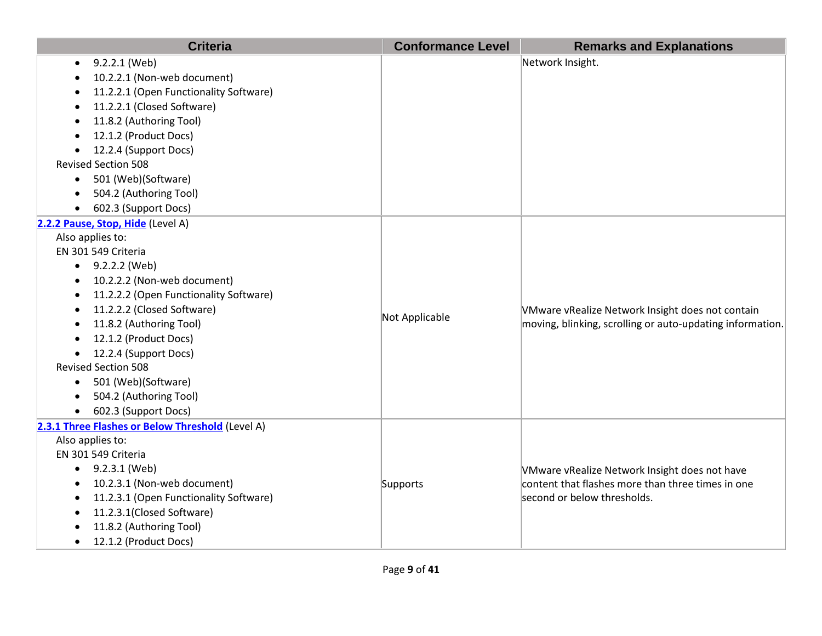| <b>Criteria</b>                                  | <b>Conformance Level</b> | <b>Remarks and Explanations</b>                           |
|--------------------------------------------------|--------------------------|-----------------------------------------------------------|
| 9.2.2.1 (Web)                                    |                          | Network Insight.                                          |
| 10.2.2.1 (Non-web document)                      |                          |                                                           |
| 11.2.2.1 (Open Functionality Software)           |                          |                                                           |
| 11.2.2.1 (Closed Software)                       |                          |                                                           |
| 11.8.2 (Authoring Tool)                          |                          |                                                           |
| 12.1.2 (Product Docs)                            |                          |                                                           |
| 12.2.4 (Support Docs)                            |                          |                                                           |
| <b>Revised Section 508</b>                       |                          |                                                           |
| 501 (Web)(Software)<br>$\bullet$                 |                          |                                                           |
| 504.2 (Authoring Tool)                           |                          |                                                           |
| 602.3 (Support Docs)                             |                          |                                                           |
| 2.2.2 Pause, Stop, Hide (Level A)                |                          |                                                           |
| Also applies to:                                 |                          |                                                           |
| EN 301 549 Criteria                              |                          |                                                           |
| $\bullet$ 9.2.2.2 (Web)                          |                          |                                                           |
| 10.2.2.2 (Non-web document)                      |                          |                                                           |
| 11.2.2.2 (Open Functionality Software)           |                          |                                                           |
| 11.2.2.2 (Closed Software)                       | Not Applicable           | VMware vRealize Network Insight does not contain          |
| 11.8.2 (Authoring Tool)                          |                          | moving, blinking, scrolling or auto-updating information. |
| 12.1.2 (Product Docs)                            |                          |                                                           |
| 12.2.4 (Support Docs)                            |                          |                                                           |
| <b>Revised Section 508</b>                       |                          |                                                           |
| 501 (Web)(Software)<br>$\bullet$                 |                          |                                                           |
| 504.2 (Authoring Tool)                           |                          |                                                           |
| 602.3 (Support Docs)                             |                          |                                                           |
| 2.3.1 Three Flashes or Below Threshold (Level A) |                          |                                                           |
| Also applies to:                                 |                          |                                                           |
| EN 301 549 Criteria                              |                          |                                                           |
| 9.2.3.1 (Web)                                    |                          | VMware vRealize Network Insight does not have             |
| 10.2.3.1 (Non-web document)                      | Supports                 | $ $ content that flashes more than three times in one     |
| 11.2.3.1 (Open Functionality Software)           |                          | second or below thresholds.                               |
| 11.2.3.1(Closed Software)                        |                          |                                                           |
| 11.8.2 (Authoring Tool)                          |                          |                                                           |
| 12.1.2 (Product Docs)                            |                          |                                                           |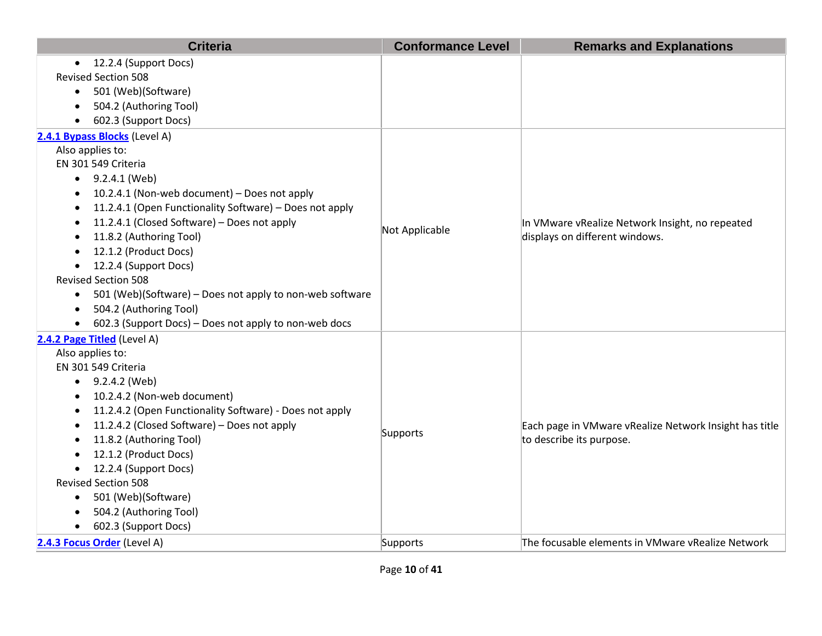| <b>Criteria</b>                                                       | <b>Conformance Level</b> | <b>Remarks and Explanations</b>                        |
|-----------------------------------------------------------------------|--------------------------|--------------------------------------------------------|
| • 12.2.4 (Support Docs)                                               |                          |                                                        |
| <b>Revised Section 508</b>                                            |                          |                                                        |
| 501 (Web)(Software)<br>$\bullet$                                      |                          |                                                        |
| 504.2 (Authoring Tool)                                                |                          |                                                        |
| 602.3 (Support Docs)<br>$\bullet$                                     |                          |                                                        |
| 2.4.1 Bypass Blocks (Level A)                                         |                          |                                                        |
| Also applies to:                                                      |                          |                                                        |
| EN 301 549 Criteria                                                   |                          |                                                        |
| $\bullet$ 9.2.4.1 (Web)                                               |                          |                                                        |
| 10.2.4.1 (Non-web document) - Does not apply                          |                          |                                                        |
| 11.2.4.1 (Open Functionality Software) - Does not apply               |                          |                                                        |
| 11.2.4.1 (Closed Software) - Does not apply                           | Not Applicable           | In VMware vRealize Network Insight, no repeated        |
| 11.8.2 (Authoring Tool)                                               |                          | displays on different windows.                         |
| 12.1.2 (Product Docs)                                                 |                          |                                                        |
| 12.2.4 (Support Docs)<br>$\bullet$                                    |                          |                                                        |
| <b>Revised Section 508</b>                                            |                          |                                                        |
| 501 (Web)(Software) – Does not apply to non-web software<br>$\bullet$ |                          |                                                        |
| 504.2 (Authoring Tool)<br>$\bullet$                                   |                          |                                                        |
| 602.3 (Support Docs) - Does not apply to non-web docs                 |                          |                                                        |
| 2.4.2 Page Titled (Level A)                                           |                          |                                                        |
| Also applies to:                                                      |                          |                                                        |
| EN 301 549 Criteria                                                   |                          |                                                        |
| $\bullet$ 9.2.4.2 (Web)                                               |                          |                                                        |
| 10.2.4.2 (Non-web document)                                           |                          |                                                        |
| 11.2.4.2 (Open Functionality Software) - Does not apply<br>$\bullet$  |                          |                                                        |
| 11.2.4.2 (Closed Software) - Does not apply                           | Supports                 | Each page in VMware vRealize Network Insight has title |
| 11.8.2 (Authoring Tool)                                               |                          | to describe its purpose.                               |
| 12.1.2 (Product Docs)                                                 |                          |                                                        |
| 12.2.4 (Support Docs)                                                 |                          |                                                        |
| <b>Revised Section 508</b>                                            |                          |                                                        |
| 501 (Web)(Software)<br>$\bullet$                                      |                          |                                                        |
| 504.2 (Authoring Tool)                                                |                          |                                                        |
| 602.3 (Support Docs)<br>$\bullet$                                     |                          |                                                        |
| 2.4.3 Focus Order (Level A)                                           | Supports                 | The focusable elements in VMware vRealize Network      |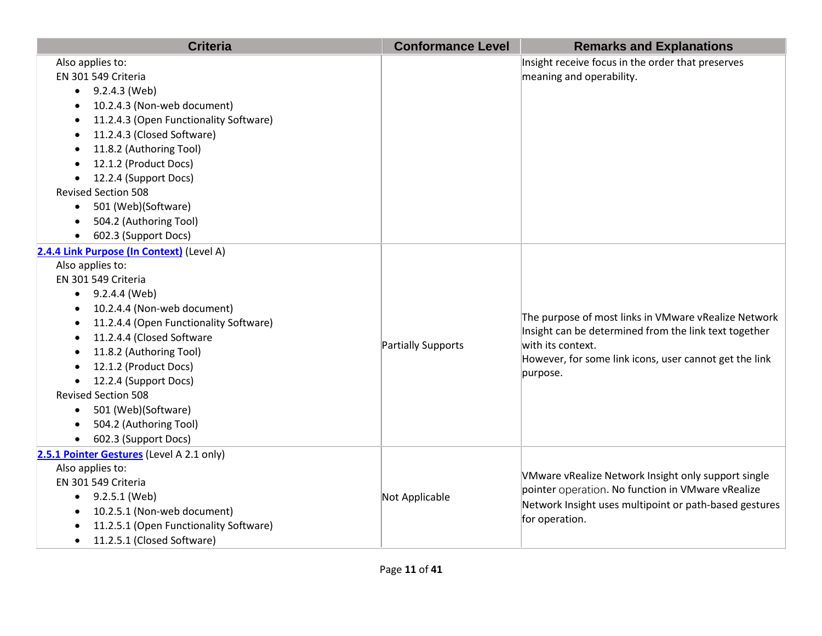| <b>Criteria</b>                                                                                                                                                                                                                                                                                                                                                                                                                                               | <b>Conformance Level</b> | <b>Remarks and Explanations</b>                                                                                                                                                                          |
|---------------------------------------------------------------------------------------------------------------------------------------------------------------------------------------------------------------------------------------------------------------------------------------------------------------------------------------------------------------------------------------------------------------------------------------------------------------|--------------------------|----------------------------------------------------------------------------------------------------------------------------------------------------------------------------------------------------------|
| Also applies to:<br>EN 301 549 Criteria<br>9.2.4.3 (Web)<br>$\bullet$<br>10.2.4.3 (Non-web document)<br>11.2.4.3 (Open Functionality Software)<br>11.2.4.3 (Closed Software)<br>11.8.2 (Authoring Tool)<br>$\bullet$<br>12.1.2 (Product Docs)<br>12.2.4 (Support Docs)<br><b>Revised Section 508</b><br>501 (Web)(Software)<br>504.2 (Authoring Tool)<br>602.3 (Support Docs)                                                                                 |                          | Insight receive focus in the order that preserves<br>meaning and operability.                                                                                                                            |
| 2.4.4 Link Purpose (In Context) (Level A)<br>Also applies to:<br>EN 301 549 Criteria<br>$\bullet$ 9.2.4.4 (Web)<br>10.2.4.4 (Non-web document)<br>$\bullet$<br>11.2.4.4 (Open Functionality Software)<br>11.2.4.4 (Closed Software<br>11.8.2 (Authoring Tool)<br>12.1.2 (Product Docs)<br>12.2.4 (Support Docs)<br>$\bullet$<br><b>Revised Section 508</b><br>501 (Web)(Software)<br>$\bullet$<br>504.2 (Authoring Tool)<br>602.3 (Support Docs)<br>$\bullet$ | Partially Supports       | The purpose of most links in VMware vRealize Network<br>Insight can be determined from the link text together<br>with its context.<br>However, for some link icons, user cannot get the link<br>purpose. |
| 2.5.1 Pointer Gestures (Level A 2.1 only)<br>Also applies to:<br>EN 301 549 Criteria<br>$\bullet$ 9.2.5.1 (Web)<br>10.2.5.1 (Non-web document)<br>$\bullet$<br>11.2.5.1 (Open Functionality Software)<br>11.2.5.1 (Closed Software)<br>$\bullet$                                                                                                                                                                                                              | Not Applicable           | VMware vRealize Network Insight only support single<br>pointer operation. No function in VMware vRealize<br>Network Insight uses multipoint or path-based gestures<br>for operation.                     |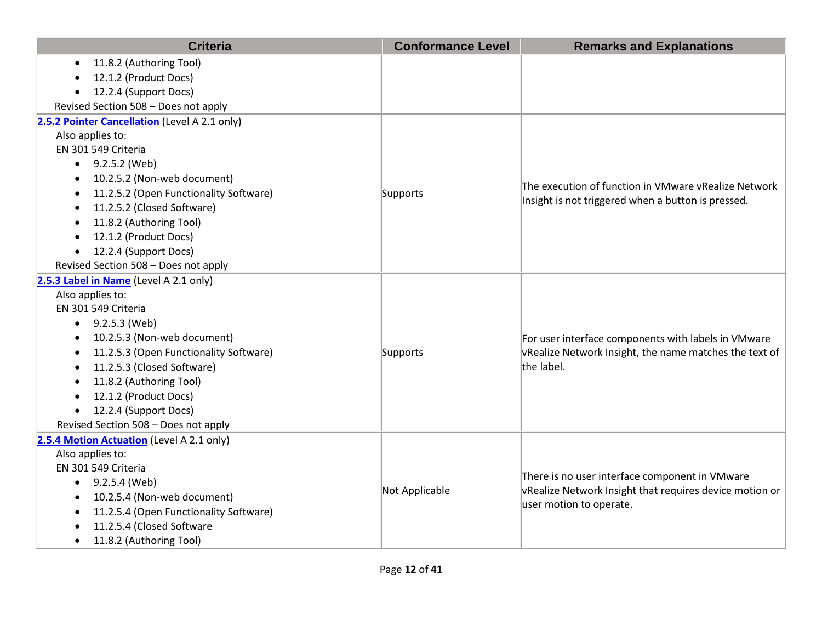| <b>Criteria</b>                               | <b>Conformance Level</b> | <b>Remarks and Explanations</b>                         |
|-----------------------------------------------|--------------------------|---------------------------------------------------------|
| 11.8.2 (Authoring Tool)<br>$\bullet$          |                          |                                                         |
| 12.1.2 (Product Docs)                         |                          |                                                         |
| 12.2.4 (Support Docs)<br>$\bullet$            |                          |                                                         |
| Revised Section 508 - Does not apply          |                          |                                                         |
| 2.5.2 Pointer Cancellation (Level A 2.1 only) |                          |                                                         |
| Also applies to:                              |                          |                                                         |
| EN 301 549 Criteria                           |                          |                                                         |
| $\bullet$ 9.2.5.2 (Web)                       |                          |                                                         |
| 10.2.5.2 (Non-web document)                   |                          | The execution of function in VMware vRealize Network    |
| 11.2.5.2 (Open Functionality Software)        | Supports                 | Insight is not triggered when a button is pressed.      |
| 11.2.5.2 (Closed Software)                    |                          |                                                         |
| 11.8.2 (Authoring Tool)                       |                          |                                                         |
| 12.1.2 (Product Docs)<br>$\bullet$            |                          |                                                         |
| 12.2.4 (Support Docs)<br>$\bullet$            |                          |                                                         |
| Revised Section 508 - Does not apply          |                          |                                                         |
| 2.5.3 Label in Name (Level A 2.1 only)        |                          |                                                         |
| Also applies to:                              |                          |                                                         |
| EN 301 549 Criteria                           |                          |                                                         |
| 9.2.5.3 (Web)                                 |                          |                                                         |
| 10.2.5.3 (Non-web document)                   |                          | For user interface components with labels in VMware     |
| 11.2.5.3 (Open Functionality Software)        | Supports                 | vRealize Network Insight, the name matches the text of  |
| 11.2.5.3 (Closed Software)                    |                          | the label.                                              |
| 11.8.2 (Authoring Tool)<br>$\bullet$          |                          |                                                         |
| 12.1.2 (Product Docs)<br>$\bullet$            |                          |                                                         |
| 12.2.4 (Support Docs)<br>$\bullet$            |                          |                                                         |
| Revised Section 508 - Does not apply          |                          |                                                         |
| 2.5.4 Motion Actuation (Level A 2.1 only)     |                          |                                                         |
| Also applies to:                              |                          |                                                         |
| EN 301 549 Criteria                           | Not Applicable           | There is no user interface component in VMware          |
| 9.2.5.4 (Web)<br>$\bullet$                    |                          | vRealize Network Insight that requires device motion or |
| 10.2.5.4 (Non-web document)                   |                          | user motion to operate.                                 |
| 11.2.5.4 (Open Functionality Software)<br>٠   |                          |                                                         |
| 11.2.5.4 (Closed Software                     |                          |                                                         |
| 11.8.2 (Authoring Tool)<br>$\bullet$          |                          |                                                         |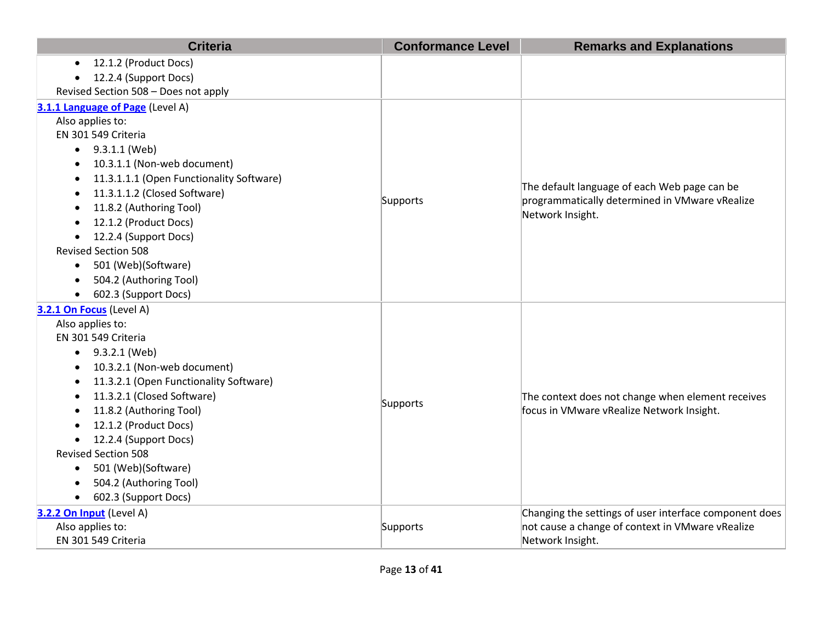| <b>Criteria</b>                          | <b>Conformance Level</b> | <b>Remarks and Explanations</b>                        |
|------------------------------------------|--------------------------|--------------------------------------------------------|
| 12.1.2 (Product Docs)                    |                          |                                                        |
| 12.2.4 (Support Docs)                    |                          |                                                        |
| Revised Section 508 - Does not apply     |                          |                                                        |
| 3.1.1 Language of Page (Level A)         |                          |                                                        |
| Also applies to:                         |                          |                                                        |
| EN 301 549 Criteria                      |                          |                                                        |
| 9.3.1.1 (Web)<br>$\bullet$               |                          |                                                        |
| 10.3.1.1 (Non-web document)<br>$\bullet$ |                          |                                                        |
| 11.3.1.1.1 (Open Functionality Software) |                          | The default language of each Web page can be           |
| 11.3.1.1.2 (Closed Software)             | Supports                 | programmatically determined in VMware vRealize         |
| 11.8.2 (Authoring Tool)                  |                          | Network Insight.                                       |
| 12.1.2 (Product Docs)                    |                          |                                                        |
| 12.2.4 (Support Docs)                    |                          |                                                        |
| <b>Revised Section 508</b>               |                          |                                                        |
| 501 (Web)(Software)<br>$\bullet$         |                          |                                                        |
| 504.2 (Authoring Tool)                   |                          |                                                        |
| 602.3 (Support Docs)                     |                          |                                                        |
| 3.2.1 On Focus (Level A)                 |                          |                                                        |
| Also applies to:                         |                          |                                                        |
| EN 301 549 Criteria                      |                          |                                                        |
| 9.3.2.1 (Web)<br>$\bullet$               |                          |                                                        |
| 10.3.2.1 (Non-web document)              |                          | The context does not change when element receives      |
| 11.3.2.1 (Open Functionality Software)   |                          |                                                        |
| 11.3.2.1 (Closed Software)               | Supports                 |                                                        |
| 11.8.2 (Authoring Tool)                  |                          | focus in VMware vRealize Network Insight.              |
| 12.1.2 (Product Docs)                    |                          |                                                        |
| 12.2.4 (Support Docs)                    |                          |                                                        |
| <b>Revised Section 508</b>               |                          |                                                        |
| 501 (Web)(Software)                      |                          |                                                        |
| 504.2 (Authoring Tool)                   |                          |                                                        |
| 602.3 (Support Docs)                     |                          |                                                        |
| 3.2.2 On Input (Level A)                 |                          | Changing the settings of user interface component does |
| Also applies to:                         | Supports                 | not cause a change of context in VMware vRealize       |
| EN 301 549 Criteria                      |                          | Network Insight.                                       |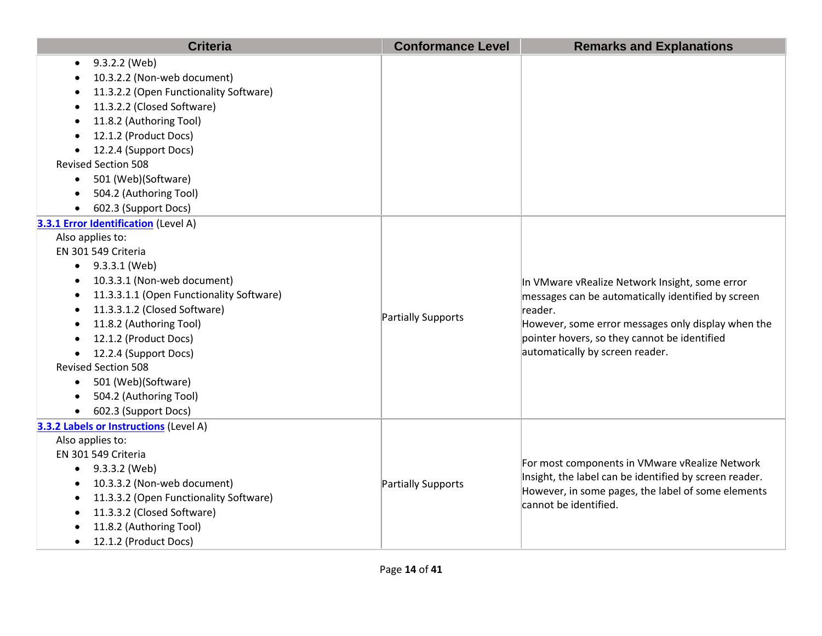| <b>Criteria</b>                          | <b>Conformance Level</b> | <b>Remarks and Explanations</b>                                                                                                                                                                                       |
|------------------------------------------|--------------------------|-----------------------------------------------------------------------------------------------------------------------------------------------------------------------------------------------------------------------|
| 9.3.2.2 (Web)                            |                          |                                                                                                                                                                                                                       |
| 10.3.2.2 (Non-web document)              |                          |                                                                                                                                                                                                                       |
| 11.3.2.2 (Open Functionality Software)   |                          |                                                                                                                                                                                                                       |
| 11.3.2.2 (Closed Software)               |                          |                                                                                                                                                                                                                       |
| 11.8.2 (Authoring Tool)                  |                          |                                                                                                                                                                                                                       |
| 12.1.2 (Product Docs)                    |                          |                                                                                                                                                                                                                       |
| 12.2.4 (Support Docs)                    |                          |                                                                                                                                                                                                                       |
| <b>Revised Section 508</b>               |                          |                                                                                                                                                                                                                       |
| 501 (Web)(Software)<br>$\bullet$         |                          |                                                                                                                                                                                                                       |
| 504.2 (Authoring Tool)                   |                          |                                                                                                                                                                                                                       |
| 602.3 (Support Docs)                     |                          |                                                                                                                                                                                                                       |
| 3.3.1 Error Identification (Level A)     |                          |                                                                                                                                                                                                                       |
| Also applies to:                         |                          |                                                                                                                                                                                                                       |
| EN 301 549 Criteria                      |                          |                                                                                                                                                                                                                       |
| $\bullet$ 9.3.3.1 (Web)                  |                          |                                                                                                                                                                                                                       |
| 10.3.3.1 (Non-web document)              |                          | In VMware vRealize Network Insight, some error<br>messages can be automatically identified by screen<br>reader.<br>However, some error messages only display when the<br>pointer hovers, so they cannot be identified |
| 11.3.3.1.1 (Open Functionality Software) |                          |                                                                                                                                                                                                                       |
| 11.3.3.1.2 (Closed Software)             | Partially Supports       |                                                                                                                                                                                                                       |
| 11.8.2 (Authoring Tool)                  |                          |                                                                                                                                                                                                                       |
| 12.1.2 (Product Docs)                    |                          |                                                                                                                                                                                                                       |
| 12.2.4 (Support Docs)                    |                          | automatically by screen reader.                                                                                                                                                                                       |
| <b>Revised Section 508</b>               |                          |                                                                                                                                                                                                                       |
| 501 (Web)(Software)<br>$\bullet$         |                          |                                                                                                                                                                                                                       |
| 504.2 (Authoring Tool)                   |                          |                                                                                                                                                                                                                       |
| 602.3 (Support Docs)                     |                          |                                                                                                                                                                                                                       |
| 3.3.2 Labels or Instructions (Level A)   |                          |                                                                                                                                                                                                                       |
| Also applies to:                         |                          |                                                                                                                                                                                                                       |
| EN 301 549 Criteria                      |                          | For most components in VMware vRealize Network                                                                                                                                                                        |
| 9.3.3.2 (Web)                            |                          | Insight, the label can be identified by screen reader.<br>However, in some pages, the label of some elements<br>cannot be identified.                                                                                 |
| 10.3.3.2 (Non-web document)              | Partially Supports       |                                                                                                                                                                                                                       |
| 11.3.3.2 (Open Functionality Software)   |                          |                                                                                                                                                                                                                       |
| 11.3.3.2 (Closed Software)               |                          |                                                                                                                                                                                                                       |
| 11.8.2 (Authoring Tool)                  |                          |                                                                                                                                                                                                                       |
| 12.1.2 (Product Docs)<br>$\bullet$       |                          |                                                                                                                                                                                                                       |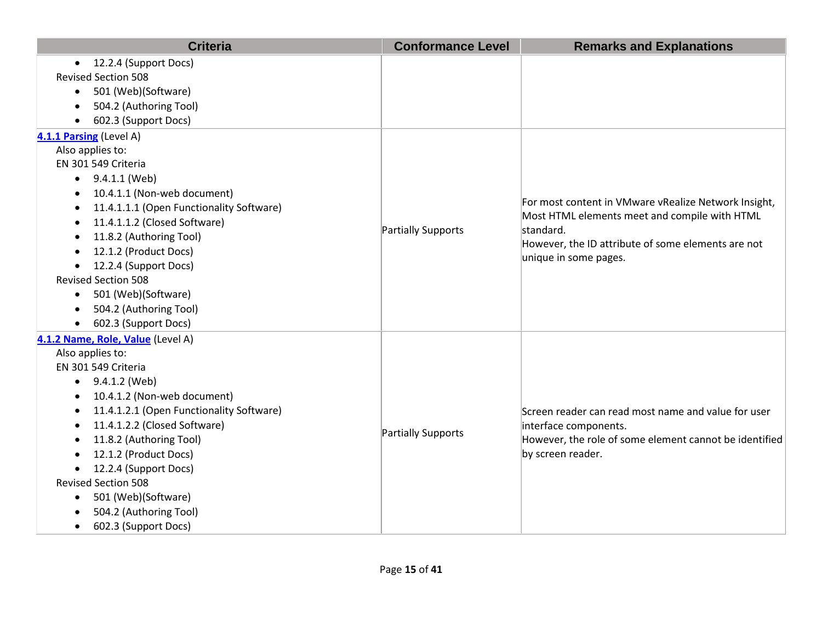| <b>Criteria</b>                          | <b>Conformance Level</b> | <b>Remarks and Explanations</b>                                                                                                           |
|------------------------------------------|--------------------------|-------------------------------------------------------------------------------------------------------------------------------------------|
| 12.2.4 (Support Docs)<br>$\bullet$       |                          |                                                                                                                                           |
| <b>Revised Section 508</b>               |                          |                                                                                                                                           |
| 501 (Web)(Software)<br>$\bullet$         |                          |                                                                                                                                           |
| 504.2 (Authoring Tool)<br>$\bullet$      |                          |                                                                                                                                           |
| 602.3 (Support Docs)                     |                          |                                                                                                                                           |
| 4.1.1 Parsing (Level A)                  |                          |                                                                                                                                           |
| Also applies to:                         |                          |                                                                                                                                           |
| EN 301 549 Criteria                      |                          |                                                                                                                                           |
| $\bullet$ 9.4.1.1 (Web)                  |                          |                                                                                                                                           |
| 10.4.1.1 (Non-web document)              |                          |                                                                                                                                           |
| 11.4.1.1.1 (Open Functionality Software) |                          | For most content in VMware vRealize Network Insight,                                                                                      |
| 11.4.1.1.2 (Closed Software)             |                          | Most HTML elements meet and compile with HTML<br>standard.<br>However, the ID attribute of some elements are not<br>unique in some pages. |
| 11.8.2 (Authoring Tool)                  | Partially Supports       |                                                                                                                                           |
| 12.1.2 (Product Docs)                    |                          |                                                                                                                                           |
| 12.2.4 (Support Docs)<br>$\bullet$       |                          |                                                                                                                                           |
| <b>Revised Section 508</b>               |                          |                                                                                                                                           |
| 501 (Web)(Software)<br>$\bullet$         |                          |                                                                                                                                           |
| 504.2 (Authoring Tool)                   |                          |                                                                                                                                           |
| 602.3 (Support Docs)                     |                          |                                                                                                                                           |
| 4.1.2 Name, Role, Value (Level A)        |                          |                                                                                                                                           |
| Also applies to:                         |                          |                                                                                                                                           |
| EN 301 549 Criteria                      |                          | Screen reader can read most name and value for user<br>interface components.                                                              |
| 9.4.1.2 (Web)                            |                          |                                                                                                                                           |
| 10.4.1.2 (Non-web document)              |                          |                                                                                                                                           |
| 11.4.1.2.1 (Open Functionality Software) |                          |                                                                                                                                           |
| 11.4.1.2.2 (Closed Software)             | Partially Supports       |                                                                                                                                           |
| 11.8.2 (Authoring Tool)                  |                          | However, the role of some element cannot be identified                                                                                    |
| 12.1.2 (Product Docs)                    |                          | by screen reader.                                                                                                                         |
| 12.2.4 (Support Docs)                    |                          |                                                                                                                                           |
| <b>Revised Section 508</b>               |                          |                                                                                                                                           |
| 501 (Web)(Software)<br>$\bullet$         |                          |                                                                                                                                           |
| 504.2 (Authoring Tool)                   |                          |                                                                                                                                           |
| 602.3 (Support Docs)<br>$\bullet$        |                          |                                                                                                                                           |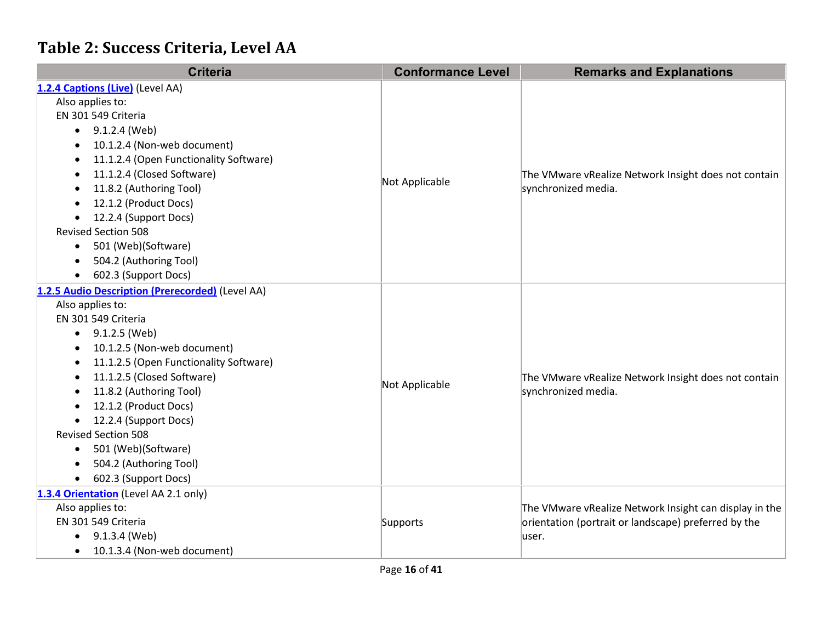## **Table 2: Success Criteria, Level AA**

| <b>Criteria</b>                                     | <b>Conformance Level</b> | <b>Remarks and Explanations</b>                        |
|-----------------------------------------------------|--------------------------|--------------------------------------------------------|
| 1.2.4 Captions (Live) (Level AA)                    |                          |                                                        |
| Also applies to:                                    |                          |                                                        |
| EN 301 549 Criteria                                 |                          |                                                        |
| 9.1.2.4 (Web)<br>$\bullet$                          |                          |                                                        |
| 10.1.2.4 (Non-web document)<br>$\bullet$            |                          |                                                        |
| 11.1.2.4 (Open Functionality Software)<br>$\bullet$ |                          |                                                        |
| 11.1.2.4 (Closed Software)<br>$\bullet$             | Not Applicable           | The VMware vRealize Network Insight does not contain   |
| 11.8.2 (Authoring Tool)<br>$\bullet$                |                          | synchronized media.                                    |
| 12.1.2 (Product Docs)                               |                          |                                                        |
| 12.2.4 (Support Docs)<br>$\bullet$                  |                          |                                                        |
| <b>Revised Section 508</b>                          |                          |                                                        |
| 501 (Web)(Software)<br>$\bullet$                    |                          |                                                        |
| 504.2 (Authoring Tool)<br>$\bullet$                 |                          |                                                        |
| 602.3 (Support Docs)                                |                          |                                                        |
| 1.2.5 Audio Description (Prerecorded) (Level AA)    |                          |                                                        |
| Also applies to:                                    | Not Applicable           |                                                        |
| EN 301 549 Criteria                                 |                          |                                                        |
| 9.1.2.5 (Web)<br>$\bullet$                          |                          |                                                        |
| 10.1.2.5 (Non-web document)<br>$\bullet$            |                          |                                                        |
| 11.1.2.5 (Open Functionality Software)<br>٠         |                          | The VMware vRealize Network Insight does not contain   |
| 11.1.2.5 (Closed Software)<br>$\bullet$             |                          |                                                        |
| 11.8.2 (Authoring Tool)<br>$\bullet$                |                          | synchronized media.                                    |
| 12.1.2 (Product Docs)<br>$\bullet$                  |                          |                                                        |
| 12.2.4 (Support Docs)<br>$\bullet$                  |                          |                                                        |
| <b>Revised Section 508</b>                          |                          |                                                        |
| 501 (Web)(Software)<br>$\bullet$                    |                          |                                                        |
| 504.2 (Authoring Tool)<br>$\bullet$                 |                          |                                                        |
| 602.3 (Support Docs)<br>$\bullet$                   |                          |                                                        |
| 1.3.4 Orientation (Level AA 2.1 only)               |                          |                                                        |
| Also applies to:                                    |                          | The VMware vRealize Network Insight can display in the |
| EN 301 549 Criteria                                 | Supports                 | orientation (portrait or landscape) preferred by the   |
| 9.1.3.4 (Web)<br>$\bullet$                          |                          | user.                                                  |
| 10.1.3.4 (Non-web document)<br>$\bullet$            |                          |                                                        |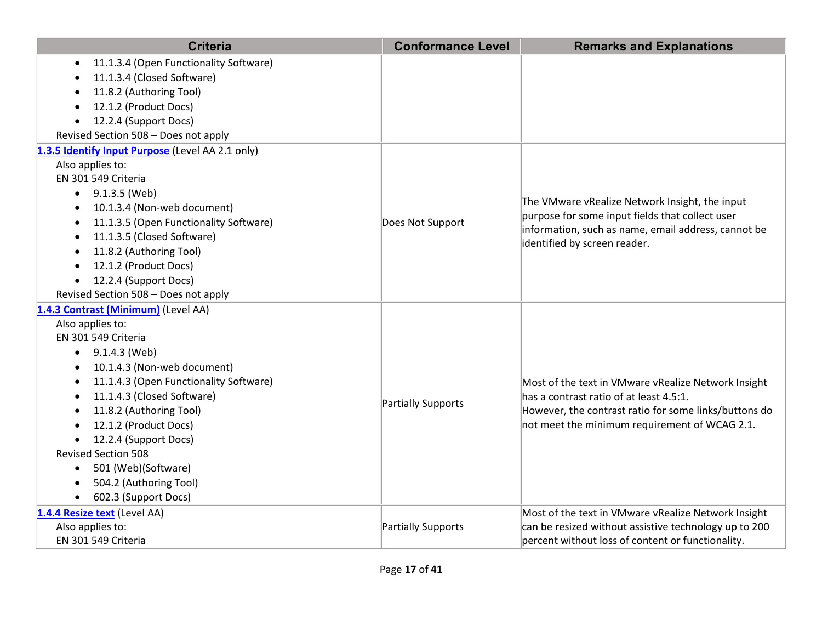| <b>Criteria</b>                                            | <b>Conformance Level</b> | <b>Remarks and Explanations</b>                                                                |
|------------------------------------------------------------|--------------------------|------------------------------------------------------------------------------------------------|
| 11.1.3.4 (Open Functionality Software)                     |                          |                                                                                                |
| 11.1.3.4 (Closed Software)                                 |                          |                                                                                                |
| 11.8.2 (Authoring Tool)                                    |                          |                                                                                                |
| 12.1.2 (Product Docs)                                      |                          |                                                                                                |
| 12.2.4 (Support Docs)<br>$\bullet$                         |                          |                                                                                                |
| Revised Section 508 - Does not apply                       |                          |                                                                                                |
| 1.3.5 Identify Input Purpose (Level AA 2.1 only)           |                          |                                                                                                |
| Also applies to:                                           |                          |                                                                                                |
| EN 301 549 Criteria                                        |                          |                                                                                                |
| 9.1.3.5 (Web)                                              |                          | The VMware vRealize Network Insight, the input                                                 |
| 10.1.3.4 (Non-web document)                                |                          | purpose for some input fields that collect user                                                |
| 11.1.3.5 (Open Functionality Software)                     | Does Not Support         | information, such as name, email address, cannot be                                            |
| 11.1.3.5 (Closed Software)                                 |                          | identified by screen reader.                                                                   |
| 11.8.2 (Authoring Tool)                                    |                          |                                                                                                |
| 12.1.2 (Product Docs)<br>$\bullet$                         |                          |                                                                                                |
| 12.2.4 (Support Docs)<br>$\bullet$                         |                          |                                                                                                |
| Revised Section 508 - Does not apply                       |                          |                                                                                                |
| 1.4.3 Contrast (Minimum) (Level AA)                        |                          |                                                                                                |
| Also applies to:                                           |                          |                                                                                                |
| EN 301 549 Criteria                                        |                          |                                                                                                |
| 9.1.4.3 (Web)<br>٠                                         |                          | Most of the text in VMware vRealize Network Insight<br>has a contrast ratio of at least 4.5:1. |
| 10.1.4.3 (Non-web document)                                |                          |                                                                                                |
| 11.1.4.3 (Open Functionality Software)<br>$\bullet$        |                          |                                                                                                |
| 11.1.4.3 (Closed Software)<br>$\bullet$                    | Partially Supports       |                                                                                                |
| 11.8.2 (Authoring Tool)                                    |                          | However, the contrast ratio for some links/buttons do                                          |
| 12.1.2 (Product Docs)                                      |                          | not meet the minimum requirement of WCAG 2.1.                                                  |
| 12.2.4 (Support Docs)<br><b>Revised Section 508</b>        |                          |                                                                                                |
|                                                            |                          |                                                                                                |
| 501 (Web)(Software)<br>$\bullet$<br>504.2 (Authoring Tool) |                          |                                                                                                |
| 602.3 (Support Docs)<br>$\bullet$                          |                          |                                                                                                |
|                                                            |                          | Most of the text in VMware vRealize Network Insight                                            |
| 1.4.4 Resize text (Level AA)<br>Also applies to:           | Partially Supports       | can be resized without assistive technology up to 200                                          |
| EN 301 549 Criteria                                        |                          | percent without loss of content or functionality.                                              |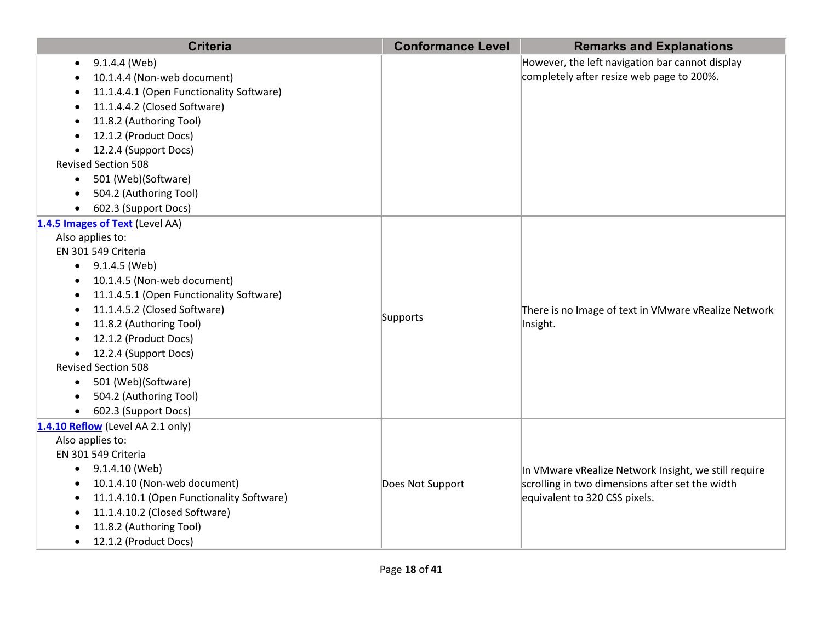| <b>Criteria</b>                                                                                                                                                                                                                                                                                                                                                                                                                             | <b>Conformance Level</b> | <b>Remarks and Explanations</b>                                                                                                          |
|---------------------------------------------------------------------------------------------------------------------------------------------------------------------------------------------------------------------------------------------------------------------------------------------------------------------------------------------------------------------------------------------------------------------------------------------|--------------------------|------------------------------------------------------------------------------------------------------------------------------------------|
| 9.1.4.4 (Web)<br>٠<br>10.1.4.4 (Non-web document)<br>11.1.4.4.1 (Open Functionality Software)<br>11.1.4.4.2 (Closed Software)<br>11.8.2 (Authoring Tool)<br>12.1.2 (Product Docs)<br>$\bullet$<br>12.2.4 (Support Docs)<br><b>Revised Section 508</b><br>501 (Web)(Software)<br>$\bullet$<br>504.2 (Authoring Tool)<br>602.3 (Support Docs)                                                                                                 |                          | However, the left navigation bar cannot display<br>completely after resize web page to 200%.                                             |
| 1.4.5 Images of Text (Level AA)<br>Also applies to:<br>EN 301 549 Criteria<br>$\bullet$ 9.1.4.5 (Web)<br>10.1.4.5 (Non-web document)<br>$\bullet$<br>11.1.4.5.1 (Open Functionality Software)<br>11.1.4.5.2 (Closed Software)<br>11.8.2 (Authoring Tool)<br>12.1.2 (Product Docs)<br>12.2.4 (Support Docs)<br><b>Revised Section 508</b><br>501 (Web)(Software)<br>$\bullet$<br>504.2 (Authoring Tool)<br>602.3 (Support Docs)<br>$\bullet$ | Supports                 | There is no Image of text in VMware vRealize Network<br>Insight.                                                                         |
| 1.4.10 Reflow (Level AA 2.1 only)<br>Also applies to:<br>EN 301 549 Criteria<br>9.1.4.10 (Web)<br>10.1.4.10 (Non-web document)<br>11.1.4.10.1 (Open Functionality Software)<br>11.1.4.10.2 (Closed Software)<br>11.8.2 (Authoring Tool)<br>12.1.2 (Product Docs)<br>$\bullet$                                                                                                                                                               | Does Not Support         | In VMware vRealize Network Insight, we still require<br>scrolling in two dimensions after set the width<br>equivalent to 320 CSS pixels. |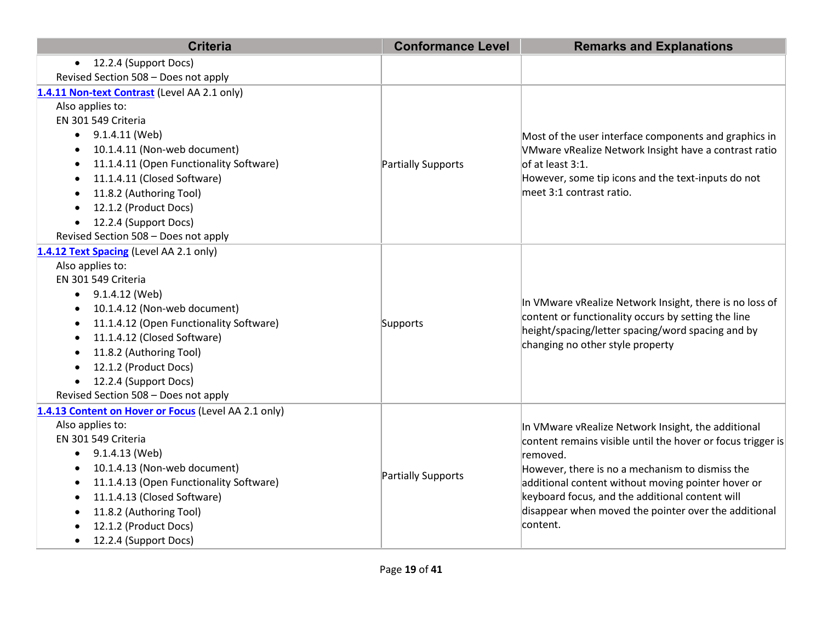| <b>Criteria</b>                                      | <b>Conformance Level</b> | <b>Remarks and Explanations</b>                                                                                                                                                                         |
|------------------------------------------------------|--------------------------|---------------------------------------------------------------------------------------------------------------------------------------------------------------------------------------------------------|
| 12.2.4 (Support Docs)<br>$\bullet$                   |                          |                                                                                                                                                                                                         |
| Revised Section 508 - Does not apply                 |                          |                                                                                                                                                                                                         |
| 1.4.11 Non-text Contrast (Level AA 2.1 only)         |                          |                                                                                                                                                                                                         |
| Also applies to:                                     |                          | Most of the user interface components and graphics in                                                                                                                                                   |
| EN 301 549 Criteria                                  |                          |                                                                                                                                                                                                         |
| 9.1.4.11 (Web)                                       |                          |                                                                                                                                                                                                         |
| 10.1.4.11 (Non-web document)                         |                          | VMware vRealize Network Insight have a contrast ratio                                                                                                                                                   |
| 11.1.4.11 (Open Functionality Software)              | Partially Supports       | of at least 3:1.                                                                                                                                                                                        |
| 11.1.4.11 (Closed Software)                          |                          | However, some tip icons and the text-inputs do not                                                                                                                                                      |
| 11.8.2 (Authoring Tool)                              |                          | meet 3:1 contrast ratio.                                                                                                                                                                                |
| 12.1.2 (Product Docs)                                |                          |                                                                                                                                                                                                         |
| 12.2.4 (Support Docs)                                |                          |                                                                                                                                                                                                         |
| Revised Section 508 - Does not apply                 |                          |                                                                                                                                                                                                         |
| 1.4.12 Text Spacing (Level AA 2.1 only)              |                          |                                                                                                                                                                                                         |
| Also applies to:                                     |                          | In VMware vRealize Network Insight, there is no loss of<br>content or functionality occurs by setting the line<br>height/spacing/letter spacing/word spacing and by<br>changing no other style property |
| EN 301 549 Criteria                                  |                          |                                                                                                                                                                                                         |
| $\bullet$ 9.1.4.12 (Web)                             |                          |                                                                                                                                                                                                         |
| 10.1.4.12 (Non-web document)                         |                          |                                                                                                                                                                                                         |
| 11.1.4.12 (Open Functionality Software)              | Supports                 |                                                                                                                                                                                                         |
| 11.1.4.12 (Closed Software)<br>$\bullet$             |                          |                                                                                                                                                                                                         |
| 11.8.2 (Authoring Tool)<br>$\bullet$                 |                          |                                                                                                                                                                                                         |
| 12.1.2 (Product Docs)<br>$\bullet$                   |                          |                                                                                                                                                                                                         |
| 12.2.4 (Support Docs)<br>$\bullet$                   |                          |                                                                                                                                                                                                         |
| Revised Section 508 - Does not apply                 |                          |                                                                                                                                                                                                         |
| 1.4.13 Content on Hover or Focus (Level AA 2.1 only) |                          |                                                                                                                                                                                                         |
| Also applies to:                                     |                          | In VMware vRealize Network Insight, the additional                                                                                                                                                      |
| EN 301 549 Criteria                                  |                          | content remains visible until the hover or focus trigger is                                                                                                                                             |
| 9.1.4.13 (Web)                                       |                          | removed.                                                                                                                                                                                                |
| 10.1.4.13 (Non-web document)                         |                          | However, there is no a mechanism to dismiss the                                                                                                                                                         |
| 11.1.4.13 (Open Functionality Software)<br>$\bullet$ | Partially Supports       | additional content without moving pointer hover or                                                                                                                                                      |
| 11.1.4.13 (Closed Software)                          |                          | keyboard focus, and the additional content will                                                                                                                                                         |
| 11.8.2 (Authoring Tool)<br>$\bullet$                 |                          | disappear when moved the pointer over the additional                                                                                                                                                    |
| 12.1.2 (Product Docs)                                |                          | content.                                                                                                                                                                                                |
| 12.2.4 (Support Docs)                                |                          |                                                                                                                                                                                                         |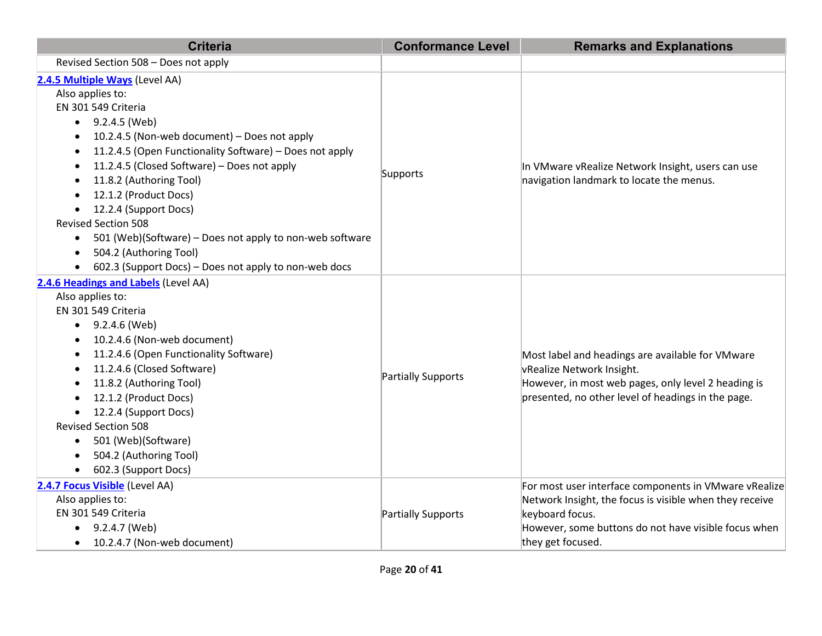| <b>Criteria</b>                                                                                                                                                                                                                                                                                                                                                                                                                                                                                                                                         | <b>Conformance Level</b> | <b>Remarks and Explanations</b>                                                                                                                                                                                  |
|---------------------------------------------------------------------------------------------------------------------------------------------------------------------------------------------------------------------------------------------------------------------------------------------------------------------------------------------------------------------------------------------------------------------------------------------------------------------------------------------------------------------------------------------------------|--------------------------|------------------------------------------------------------------------------------------------------------------------------------------------------------------------------------------------------------------|
| Revised Section 508 - Does not apply                                                                                                                                                                                                                                                                                                                                                                                                                                                                                                                    |                          |                                                                                                                                                                                                                  |
| 2.4.5 Multiple Ways (Level AA)<br>Also applies to:<br>EN 301 549 Criteria<br>$\bullet$ 9.2.4.5 (Web)<br>10.2.4.5 (Non-web document) - Does not apply<br>11.2.4.5 (Open Functionality Software) - Does not apply<br>٠<br>11.2.4.5 (Closed Software) - Does not apply<br>11.8.2 (Authoring Tool)<br>12.1.2 (Product Docs)<br>12.2.4 (Support Docs)<br><b>Revised Section 508</b><br>501 (Web)(Software) - Does not apply to non-web software<br>$\bullet$<br>504.2 (Authoring Tool)<br>$\bullet$<br>602.3 (Support Docs) – Does not apply to non-web docs | Supports                 | In VMware vRealize Network Insight, users can use<br>navigation landmark to locate the menus.                                                                                                                    |
| 2.4.6 Headings and Labels (Level AA)<br>Also applies to:<br>EN 301 549 Criteria<br>9.2.4.6 (Web)<br>$\bullet$<br>10.2.4.6 (Non-web document)<br>11.2.4.6 (Open Functionality Software)<br>11.2.4.6 (Closed Software)<br>$\bullet$<br>11.8.2 (Authoring Tool)<br>12.1.2 (Product Docs)<br>12.2.4 (Support Docs)<br>$\bullet$<br><b>Revised Section 508</b><br>501 (Web)(Software)<br>504.2 (Authoring Tool)<br>602.3 (Support Docs)                                                                                                                      | Partially Supports       | Most label and headings are available for VMware<br>vRealize Network Insight.<br>However, in most web pages, only level 2 heading is<br>presented, no other level of headings in the page.                       |
| 2.4.7 Focus Visible (Level AA)<br>Also applies to:<br>EN 301 549 Criteria<br>9.2.4.7 (Web)<br>$\bullet$<br>10.2.4.7 (Non-web document)<br>$\bullet$                                                                                                                                                                                                                                                                                                                                                                                                     | Partially Supports       | For most user interface components in VMware vRealize<br>Network Insight, the focus is visible when they receive<br>keyboard focus.<br>However, some buttons do not have visible focus when<br>they get focused. |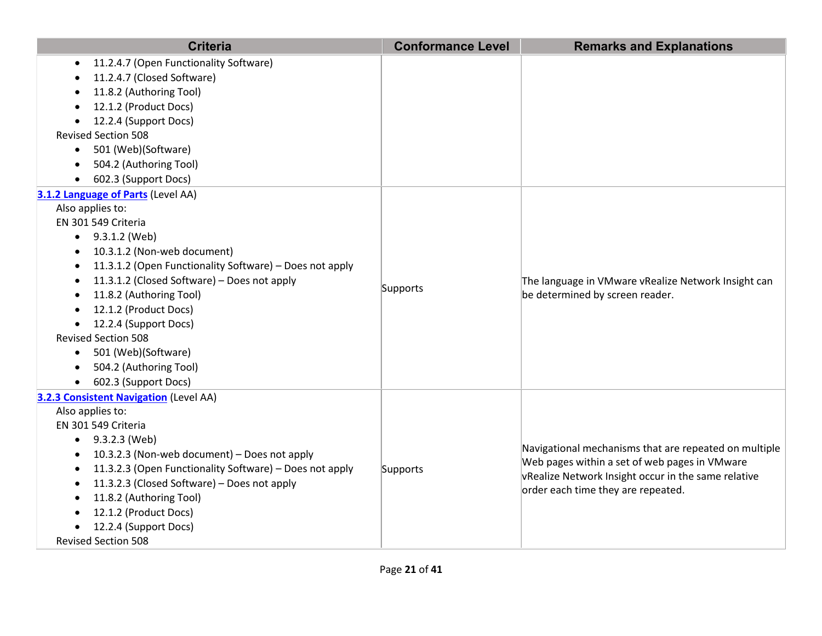| <b>Criteria</b>                                                                                        | <b>Conformance Level</b> | <b>Remarks and Explanations</b>                       |
|--------------------------------------------------------------------------------------------------------|--------------------------|-------------------------------------------------------|
| 11.2.4.7 (Open Functionality Software)                                                                 |                          |                                                       |
| 11.2.4.7 (Closed Software)                                                                             |                          |                                                       |
| 11.8.2 (Authoring Tool)                                                                                |                          |                                                       |
| 12.1.2 (Product Docs)                                                                                  |                          |                                                       |
| 12.2.4 (Support Docs)                                                                                  |                          |                                                       |
| <b>Revised Section 508</b>                                                                             |                          |                                                       |
| 501 (Web)(Software)<br>$\bullet$                                                                       |                          |                                                       |
| 504.2 (Authoring Tool)                                                                                 |                          |                                                       |
| 602.3 (Support Docs)                                                                                   |                          |                                                       |
| 3.1.2 Language of Parts (Level AA)                                                                     |                          |                                                       |
| Also applies to:                                                                                       |                          |                                                       |
| EN 301 549 Criteria                                                                                    |                          |                                                       |
| $\bullet$ 9.3.1.2 (Web)                                                                                |                          |                                                       |
| 10.3.1.2 (Non-web document)                                                                            |                          |                                                       |
| 11.3.1.2 (Open Functionality Software) - Does not apply<br>$\bullet$                                   |                          |                                                       |
| 11.3.1.2 (Closed Software) - Does not apply                                                            | Supports                 | The language in VMware vRealize Network Insight can   |
| 11.8.2 (Authoring Tool)                                                                                |                          | be determined by screen reader.                       |
| 12.1.2 (Product Docs)                                                                                  |                          |                                                       |
| 12.2.4 (Support Docs)                                                                                  |                          |                                                       |
| <b>Revised Section 508</b>                                                                             |                          |                                                       |
| 501 (Web)(Software)<br>$\bullet$                                                                       |                          |                                                       |
| 504.2 (Authoring Tool)<br>$\bullet$                                                                    |                          |                                                       |
| 602.3 (Support Docs)<br>$\bullet$                                                                      |                          |                                                       |
| 3.2.3 Consistent Navigation (Level AA)                                                                 |                          |                                                       |
| Also applies to:                                                                                       |                          |                                                       |
| EN 301 549 Criteria                                                                                    |                          |                                                       |
| 9.3.2.3 (Web)                                                                                          |                          | Navigational mechanisms that are repeated on multiple |
| 10.3.2.3 (Non-web document) - Does not apply                                                           |                          | Web pages within a set of web pages in VMware         |
| 11.3.2.3 (Open Functionality Software) - Does not apply<br>11.3.2.3 (Closed Software) - Does not apply | Supports                 | vRealize Network Insight occur in the same relative   |
| 11.8.2 (Authoring Tool)                                                                                |                          | order each time they are repeated.                    |
| 12.1.2 (Product Docs)                                                                                  |                          |                                                       |
| 12.2.4 (Support Docs)                                                                                  |                          |                                                       |
| <b>Revised Section 508</b>                                                                             |                          |                                                       |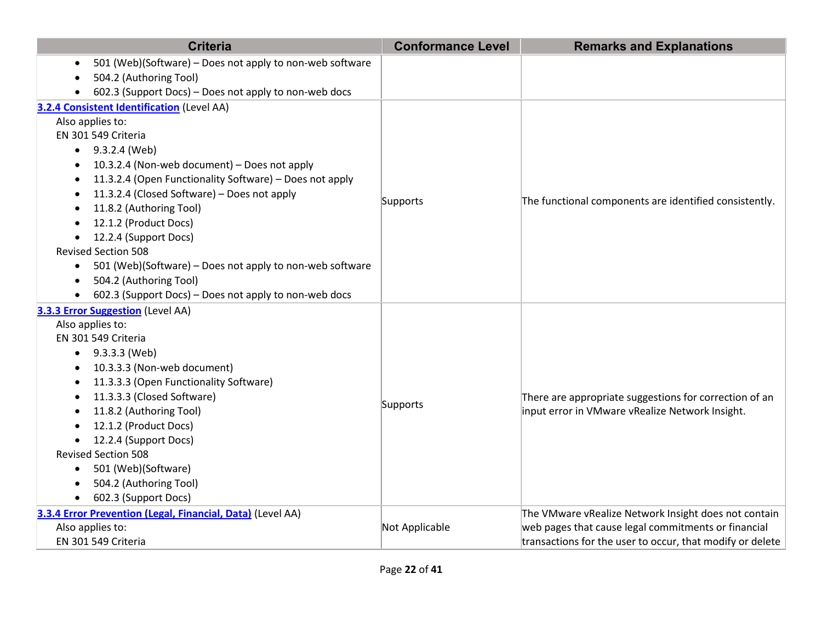| <b>Criteria</b>                                                       | <b>Conformance Level</b> | <b>Remarks and Explanations</b>                                                                           |
|-----------------------------------------------------------------------|--------------------------|-----------------------------------------------------------------------------------------------------------|
| 501 (Web)(Software) - Does not apply to non-web software              |                          |                                                                                                           |
| 504.2 (Authoring Tool)                                                |                          |                                                                                                           |
| 602.3 (Support Docs) - Does not apply to non-web docs                 |                          |                                                                                                           |
| 3.2.4 Consistent Identification (Level AA)                            |                          |                                                                                                           |
| Also applies to:                                                      |                          |                                                                                                           |
| EN 301 549 Criteria                                                   |                          |                                                                                                           |
| $\bullet$ 9.3.2.4 (Web)                                               |                          |                                                                                                           |
| 10.3.2.4 (Non-web document) - Does not apply<br>٠                     |                          |                                                                                                           |
| 11.3.2.4 (Open Functionality Software) - Does not apply               |                          |                                                                                                           |
| 11.3.2.4 (Closed Software) - Does not apply                           | Supports                 | The functional components are identified consistently.                                                    |
| 11.8.2 (Authoring Tool)                                               |                          |                                                                                                           |
| 12.1.2 (Product Docs)                                                 |                          |                                                                                                           |
| 12.2.4 (Support Docs)<br>$\bullet$                                    |                          |                                                                                                           |
| <b>Revised Section 508</b>                                            |                          |                                                                                                           |
| 501 (Web)(Software) - Does not apply to non-web software<br>$\bullet$ |                          |                                                                                                           |
| 504.2 (Authoring Tool)<br>$\bullet$                                   |                          |                                                                                                           |
| 602.3 (Support Docs) - Does not apply to non-web docs                 |                          |                                                                                                           |
| 3.3.3 Error Suggestion (Level AA)                                     |                          |                                                                                                           |
| Also applies to:<br>EN 301 549 Criteria                               |                          |                                                                                                           |
| $\bullet$ 9.3.3.3 (Web)                                               |                          | There are appropriate suggestions for correction of an<br>input error in VMware vRealize Network Insight. |
| 10.3.3.3 (Non-web document)                                           |                          |                                                                                                           |
| 11.3.3.3 (Open Functionality Software)                                |                          |                                                                                                           |
| ٠<br>11.3.3.3 (Closed Software)<br>$\bullet$                          |                          |                                                                                                           |
| 11.8.2 (Authoring Tool)                                               | Supports                 |                                                                                                           |
| 12.1.2 (Product Docs)                                                 |                          |                                                                                                           |
| 12.2.4 (Support Docs)                                                 |                          |                                                                                                           |
| <b>Revised Section 508</b>                                            |                          |                                                                                                           |
| 501 (Web)(Software)<br>$\bullet$                                      |                          |                                                                                                           |
| 504.2 (Authoring Tool)                                                |                          |                                                                                                           |
| 602.3 (Support Docs)<br>$\bullet$                                     |                          |                                                                                                           |
| 3.3.4 Error Prevention (Legal, Financial, Data) (Level AA)            |                          | The VMware vRealize Network Insight does not contain                                                      |
| Also applies to:                                                      | Not Applicable           | web pages that cause legal commitments or financial                                                       |
| EN 301 549 Criteria                                                   |                          | transactions for the user to occur, that modify or delete                                                 |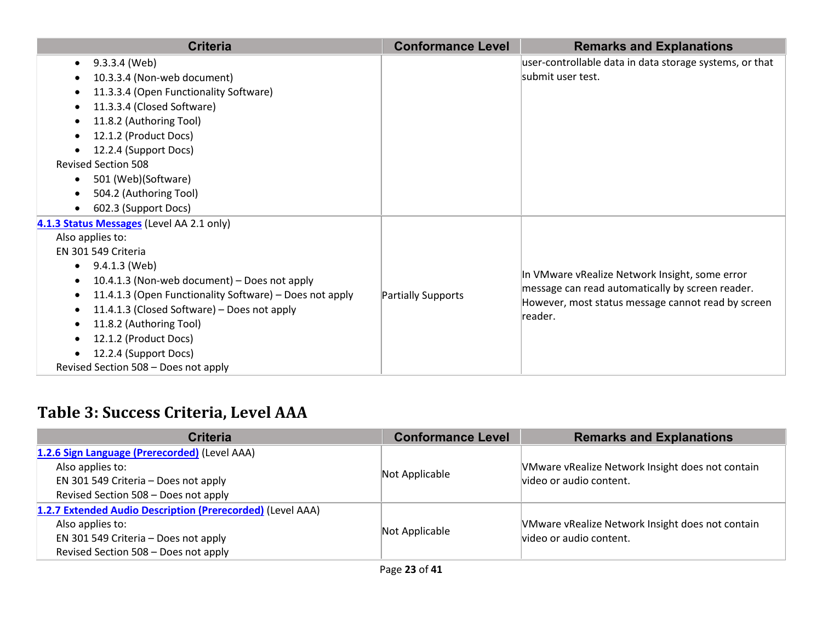| <b>Criteria</b>                                         | <b>Conformance Level</b> | <b>Remarks and Explanations</b>                                                                                   |
|---------------------------------------------------------|--------------------------|-------------------------------------------------------------------------------------------------------------------|
| 9.3.3.4 (Web)                                           |                          | user-controllable data in data storage systems, or that                                                           |
| 10.3.3.4 (Non-web document)                             |                          | submit user test.                                                                                                 |
| 11.3.3.4 (Open Functionality Software)                  |                          |                                                                                                                   |
| 11.3.3.4 (Closed Software)                              |                          |                                                                                                                   |
| 11.8.2 (Authoring Tool)                                 |                          |                                                                                                                   |
| 12.1.2 (Product Docs)                                   |                          |                                                                                                                   |
| 12.2.4 (Support Docs)                                   |                          |                                                                                                                   |
| <b>Revised Section 508</b>                              |                          |                                                                                                                   |
| 501 (Web)(Software)<br>$\bullet$                        |                          |                                                                                                                   |
| 504.2 (Authoring Tool)                                  |                          |                                                                                                                   |
| 602.3 (Support Docs)                                    |                          |                                                                                                                   |
| 4.1.3 Status Messages (Level AA 2.1 only)               |                          |                                                                                                                   |
| Also applies to:                                        |                          |                                                                                                                   |
| EN 301 549 Criteria                                     |                          |                                                                                                                   |
| 9.4.1.3 (Web)<br>$\bullet$                              |                          | In VMware vRealize Network Insight, some error                                                                    |
| 10.4.1.3 (Non-web document) - Does not apply            |                          | message can read automatically by screen reader.<br>However, most status message cannot read by screen<br>reader. |
| 11.4.1.3 (Open Functionality Software) - Does not apply | Partially Supports       |                                                                                                                   |
| 11.4.1.3 (Closed Software) - Does not apply             |                          |                                                                                                                   |
| 11.8.2 (Authoring Tool)                                 |                          |                                                                                                                   |
| 12.1.2 (Product Docs)                                   |                          |                                                                                                                   |
| 12.2.4 (Support Docs)                                   |                          |                                                                                                                   |
| Revised Section 508 - Does not apply                    |                          |                                                                                                                   |

## **Table 3: Success Criteria, Level AAA**

| <b>Criteria</b>                                            | <b>Conformance Level</b> | <b>Remarks and Explanations</b>                  |
|------------------------------------------------------------|--------------------------|--------------------------------------------------|
| 1.2.6 Sign Language (Prerecorded) (Level AAA)              |                          |                                                  |
| Also applies to:                                           | Not Applicable           | VMware vRealize Network Insight does not contain |
| EN 301 549 Criteria - Does not apply                       |                          | video or audio content.                          |
| Revised Section 508 - Does not apply                       |                          |                                                  |
| 1.2.7 Extended Audio Description (Prerecorded) (Level AAA) |                          |                                                  |
| Also applies to:                                           | Not Applicable           | VMware vRealize Network Insight does not contain |
| EN 301 549 Criteria - Does not apply                       |                          | video or audio content.                          |
| Revised Section 508 - Does not apply                       |                          |                                                  |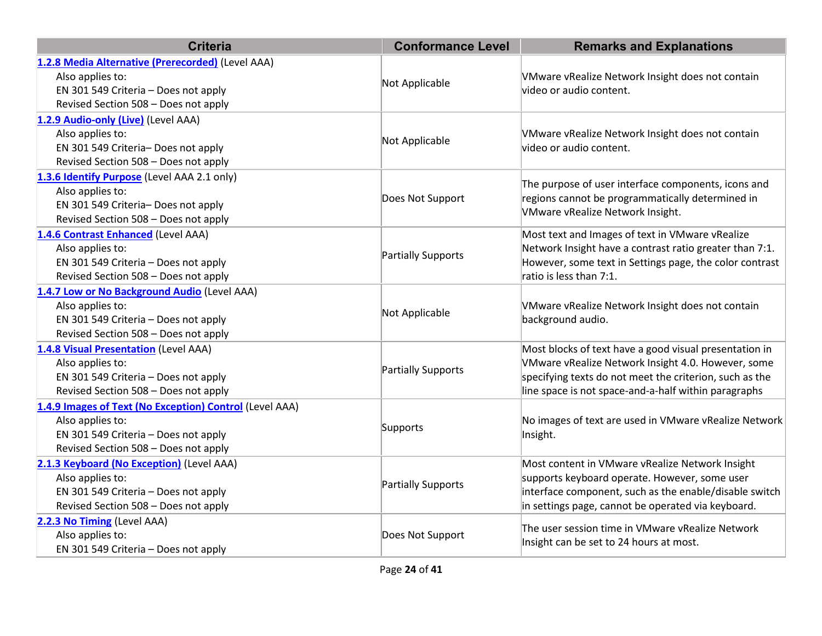| <b>Criteria</b>                                         | <b>Conformance Level</b> | <b>Remarks and Explanations</b>                                       |
|---------------------------------------------------------|--------------------------|-----------------------------------------------------------------------|
| 1.2.8 Media Alternative (Prerecorded) (Level AAA)       |                          |                                                                       |
| Also applies to:                                        | Not Applicable           | VMware vRealize Network Insight does not contain                      |
| EN 301 549 Criteria - Does not apply                    |                          | video or audio content.                                               |
| Revised Section 508 - Does not apply                    |                          |                                                                       |
| 1.2.9 Audio-only (Live) (Level AAA)                     |                          |                                                                       |
| Also applies to:                                        | Not Applicable           | VMware vRealize Network Insight does not contain                      |
| EN 301 549 Criteria- Does not apply                     |                          | video or audio content.                                               |
| Revised Section 508 - Does not apply                    |                          |                                                                       |
| 1.3.6 Identify Purpose (Level AAA 2.1 only)             |                          |                                                                       |
| Also applies to:                                        |                          | The purpose of user interface components, icons and                   |
| EN 301 549 Criteria- Does not apply                     | Does Not Support         | regions cannot be programmatically determined in                      |
| Revised Section 508 - Does not apply                    |                          | VMware vRealize Network Insight.                                      |
| 1.4.6 Contrast Enhanced (Level AAA)                     |                          | Most text and Images of text in VMware vRealize                       |
| Also applies to:                                        |                          | Network Insight have a contrast ratio greater than 7:1.               |
| EN 301 549 Criteria - Does not apply                    | Partially Supports       | However, some text in Settings page, the color contrast               |
| Revised Section 508 - Does not apply                    |                          | ratio is less than 7:1.                                               |
| 1.4.7 Low or No Background Audio (Level AAA)            |                          | VMware vRealize Network Insight does not contain<br>background audio. |
| Also applies to:                                        |                          |                                                                       |
| EN 301 549 Criteria - Does not apply                    | Not Applicable           |                                                                       |
| Revised Section 508 - Does not apply                    |                          |                                                                       |
| 1.4.8 Visual Presentation (Level AAA)                   |                          | Most blocks of text have a good visual presentation in                |
| Also applies to:                                        |                          | VMware vRealize Network Insight 4.0. However, some                    |
| EN 301 549 Criteria - Does not apply                    | Partially Supports       | specifying texts do not meet the criterion, such as the               |
| Revised Section 508 - Does not apply                    |                          | line space is not space-and-a-half within paragraphs                  |
| 1.4.9 Images of Text (No Exception) Control (Level AAA) |                          |                                                                       |
| Also applies to:                                        |                          | No images of text are used in VMware vRealize Network<br>Insight.     |
| EN 301 549 Criteria - Does not apply                    | Supports                 |                                                                       |
| Revised Section 508 - Does not apply                    |                          |                                                                       |
| 2.1.3 Keyboard (No Exception) (Level AAA)               |                          | Most content in VMware vRealize Network Insight                       |
| Also applies to:                                        |                          | supports keyboard operate. However, some user                         |
| EN 301 549 Criteria - Does not apply                    | Partially Supports       | interface component, such as the enable/disable switch                |
| Revised Section 508 - Does not apply                    |                          | in settings page, cannot be operated via keyboard.                    |
| 2.2.3 No Timing (Level AAA)                             |                          |                                                                       |
| Also applies to:                                        | Does Not Support         | The user session time in VMware vRealize Network                      |
| EN 301 549 Criteria - Does not apply                    |                          | Insight can be set to 24 hours at most.                               |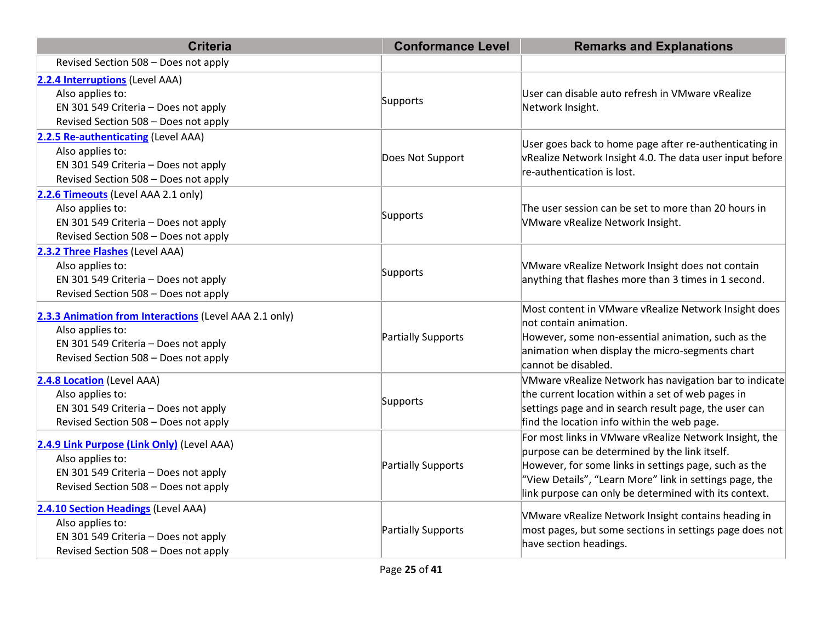| <b>Criteria</b>                                                                                                                                            | <b>Conformance Level</b> | <b>Remarks and Explanations</b>                                                                                                                                                                                                                                                      |
|------------------------------------------------------------------------------------------------------------------------------------------------------------|--------------------------|--------------------------------------------------------------------------------------------------------------------------------------------------------------------------------------------------------------------------------------------------------------------------------------|
| Revised Section 508 - Does not apply                                                                                                                       |                          |                                                                                                                                                                                                                                                                                      |
| 2.2.4 Interruptions (Level AAA)<br>Also applies to:<br>EN 301 549 Criteria - Does not apply<br>Revised Section 508 - Does not apply                        | Supports                 | User can disable auto refresh in VMware vRealize<br>Network Insight.                                                                                                                                                                                                                 |
| 2.2.5 Re-authenticating (Level AAA)<br>Also applies to:<br>EN 301 549 Criteria - Does not apply<br>Revised Section 508 - Does not apply                    | Does Not Support         | User goes back to home page after re-authenticating in<br>vRealize Network Insight 4.0. The data user input before<br>re-authentication is lost.                                                                                                                                     |
| 2.2.6 Timeouts (Level AAA 2.1 only)<br>Also applies to:<br>EN 301 549 Criteria - Does not apply<br>Revised Section 508 - Does not apply                    | Supports                 | The user session can be set to more than 20 hours in<br>VMware vRealize Network Insight.                                                                                                                                                                                             |
| 2.3.2 Three Flashes (Level AAA)<br>Also applies to:<br>EN 301 549 Criteria - Does not apply<br>Revised Section 508 - Does not apply                        | Supports                 | VMware vRealize Network Insight does not contain<br>anything that flashes more than 3 times in 1 second.                                                                                                                                                                             |
| 2.3.3 Animation from Interactions (Level AAA 2.1 only)<br>Also applies to:<br>EN 301 549 Criteria - Does not apply<br>Revised Section 508 - Does not apply | Partially Supports       | Most content in VMware vRealize Network Insight does<br>not contain animation.<br>However, some non-essential animation, such as the<br>animation when display the micro-segments chart<br>cannot be disabled.                                                                       |
| 2.4.8 Location (Level AAA)<br>Also applies to:<br>EN 301 549 Criteria - Does not apply<br>Revised Section 508 - Does not apply                             | Supports                 | VMware vRealize Network has navigation bar to indicate<br>the current location within a set of web pages in<br>settings page and in search result page, the user can<br>find the location info within the web page.                                                                  |
| 2.4.9 Link Purpose (Link Only) (Level AAA)<br>Also applies to:<br>EN 301 549 Criteria - Does not apply<br>Revised Section 508 - Does not apply             | Partially Supports       | For most links in VMware vRealize Network Insight, the<br>purpose can be determined by the link itself.<br>However, for some links in settings page, such as the<br>"View Details", "Learn More" link in settings page, the<br>link purpose can only be determined with its context. |
| 2.4.10 Section Headings (Level AAA)<br>Also applies to:<br>EN 301 549 Criteria - Does not apply<br>Revised Section 508 - Does not apply                    | Partially Supports       | VMware vRealize Network Insight contains heading in<br>most pages, but some sections in settings page does not<br>have section headings.                                                                                                                                             |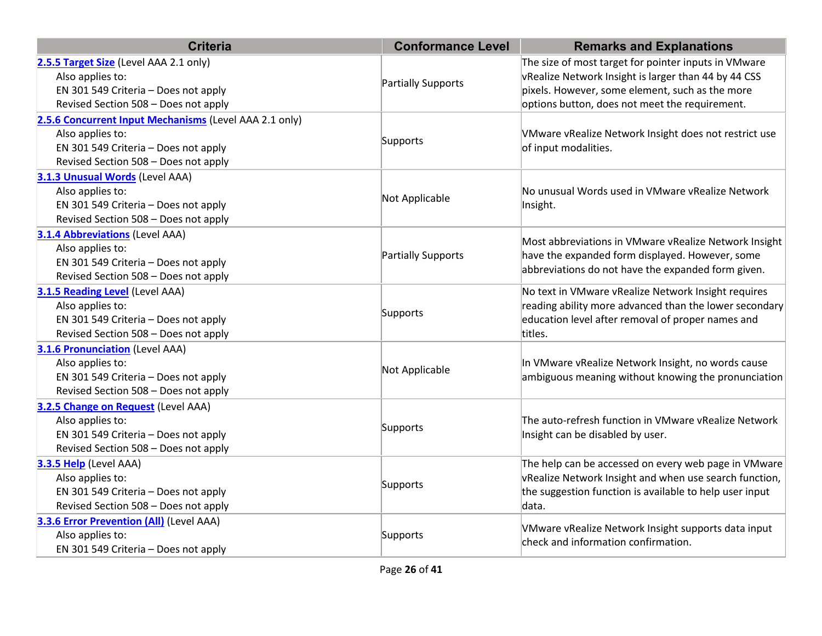| <b>Criteria</b>                                                                                                                                            | <b>Conformance Level</b> | <b>Remarks and Explanations</b>                                                                                                                                                                                   |
|------------------------------------------------------------------------------------------------------------------------------------------------------------|--------------------------|-------------------------------------------------------------------------------------------------------------------------------------------------------------------------------------------------------------------|
| 2.5.5 Target Size (Level AAA 2.1 only)<br>Also applies to:<br>EN 301 549 Criteria - Does not apply<br>Revised Section 508 - Does not apply                 | Partially Supports       | The size of most target for pointer inputs in VMware<br>vRealize Network Insight is larger than 44 by 44 CSS<br>pixels. However, some element, such as the more<br>options button, does not meet the requirement. |
| 2.5.6 Concurrent Input Mechanisms (Level AAA 2.1 only)<br>Also applies to:<br>EN 301 549 Criteria - Does not apply<br>Revised Section 508 - Does not apply | Supports                 | VMware vRealize Network Insight does not restrict use<br>of input modalities.                                                                                                                                     |
| 3.1.3 Unusual Words (Level AAA)<br>Also applies to:<br>EN 301 549 Criteria - Does not apply<br>Revised Section 508 - Does not apply                        | Not Applicable           | No unusual Words used in VMware vRealize Network<br>Insight.                                                                                                                                                      |
| <b>3.1.4 Abbreviations (Level AAA)</b><br>Also applies to:<br>EN 301 549 Criteria - Does not apply<br>Revised Section 508 - Does not apply                 | Partially Supports       | Most abbreviations in VMware vRealize Network Insight<br>have the expanded form displayed. However, some<br>abbreviations do not have the expanded form given.                                                    |
| 3.1.5 Reading Level (Level AAA)<br>Also applies to:<br>EN 301 549 Criteria - Does not apply<br>Revised Section 508 - Does not apply                        | Supports                 | No text in VMware vRealize Network Insight requires<br>reading ability more advanced than the lower secondary<br>education level after removal of proper names and<br>titles.                                     |
| <b>3.1.6 Pronunciation (Level AAA)</b><br>Also applies to:<br>EN 301 549 Criteria - Does not apply<br>Revised Section 508 - Does not apply                 | Not Applicable           | In VMware vRealize Network Insight, no words cause<br>ambiguous meaning without knowing the pronunciation                                                                                                         |
| 3.2.5 Change on Request (Level AAA)<br>Also applies to:<br>EN 301 549 Criteria - Does not apply<br>Revised Section 508 - Does not apply                    | Supports                 | The auto-refresh function in VMware vRealize Network<br>Insight can be disabled by user.                                                                                                                          |
| 3.3.5 Help (Level AAA)<br>Also applies to:<br>EN 301 549 Criteria - Does not apply<br>Revised Section 508 - Does not apply                                 | Supports                 | The help can be accessed on every web page in VMware<br>vRealize Network Insight and when use search function,<br>the suggestion function is available to help user input<br>data.                                |
| <b>3.3.6 Error Prevention (All)</b> (Level AAA)<br>Also applies to:<br>EN 301 549 Criteria - Does not apply                                                | Supports                 | VMware vRealize Network Insight supports data input<br>check and information confirmation.                                                                                                                        |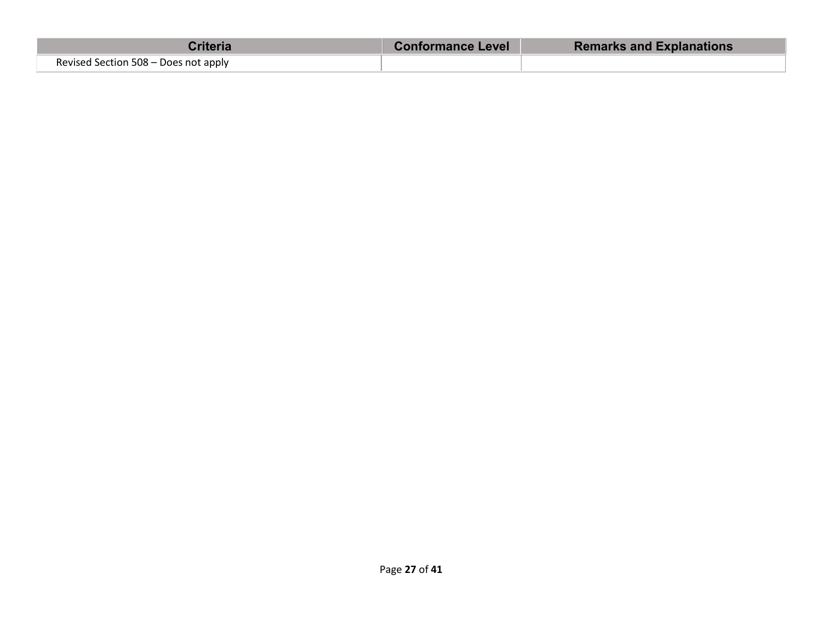| Criteria                             | <b>Conformance Level</b> | <b>Remarks and Explanations</b> |
|--------------------------------------|--------------------------|---------------------------------|
| Revised Section 508 - Does not apply |                          |                                 |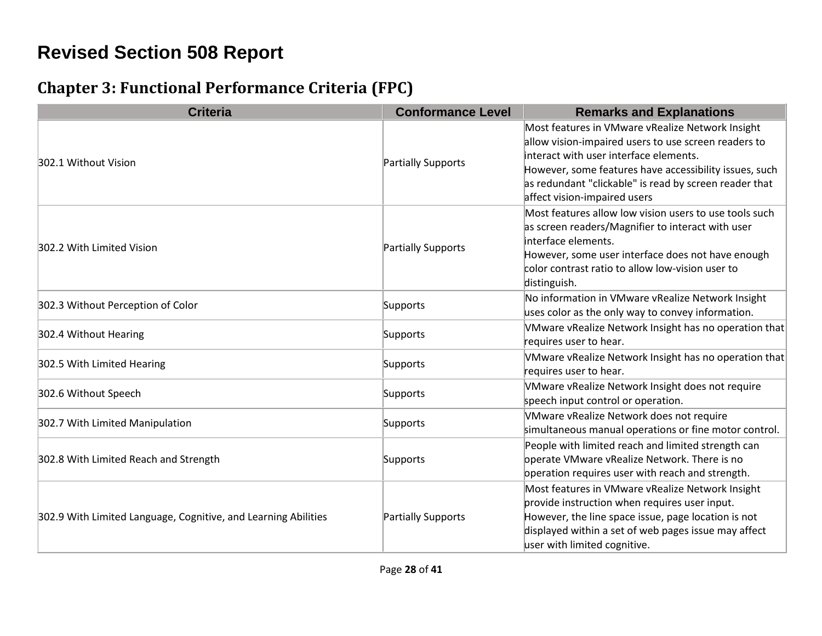# **Revised Section 508 Report**

### **Chapter 3: Functional Performance Criteria (FPC)**

| <b>Criteria</b>                                                | <b>Conformance Level</b> | <b>Remarks and Explanations</b>                                                                                                                                                                                                                                                                        |
|----------------------------------------------------------------|--------------------------|--------------------------------------------------------------------------------------------------------------------------------------------------------------------------------------------------------------------------------------------------------------------------------------------------------|
| 302.1 Without Vision                                           | Partially Supports       | Most features in VMware vRealize Network Insight<br>allow vision-impaired users to use screen readers to<br>interact with user interface elements.<br>However, some features have accessibility issues, such<br>as redundant "clickable" is read by screen reader that<br>affect vision-impaired users |
| 302.2 With Limited Vision                                      | Partially Supports       | Most features allow low vision users to use tools such<br>as screen readers/Magnifier to interact with user<br>interface elements.<br>However, some user interface does not have enough<br>color contrast ratio to allow low-vision user to<br>distinguish.                                            |
| 302.3 Without Perception of Color                              | Supports                 | No information in VMware vRealize Network Insight<br>uses color as the only way to convey information.                                                                                                                                                                                                 |
| 302.4 Without Hearing                                          | Supports                 | VMware vRealize Network Insight has no operation that<br>requires user to hear.                                                                                                                                                                                                                        |
| 302.5 With Limited Hearing                                     | Supports                 | VMware vRealize Network Insight has no operation that<br>requires user to hear.                                                                                                                                                                                                                        |
| 302.6 Without Speech                                           | Supports                 | VMware vRealize Network Insight does not require<br>speech input control or operation.                                                                                                                                                                                                                 |
| 302.7 With Limited Manipulation                                | Supports                 | VMware vRealize Network does not require<br>simultaneous manual operations or fine motor control.                                                                                                                                                                                                      |
| 302.8 With Limited Reach and Strength                          | Supports                 | People with limited reach and limited strength can<br>operate VMware vRealize Network. There is no<br>operation requires user with reach and strength.                                                                                                                                                 |
| 302.9 With Limited Language, Cognitive, and Learning Abilities | Partially Supports       | Most features in VMware vRealize Network Insight<br>provide instruction when requires user input.<br>However, the line space issue, page location is not<br>displayed within a set of web pages issue may affect<br>user with limited cognitive.                                                       |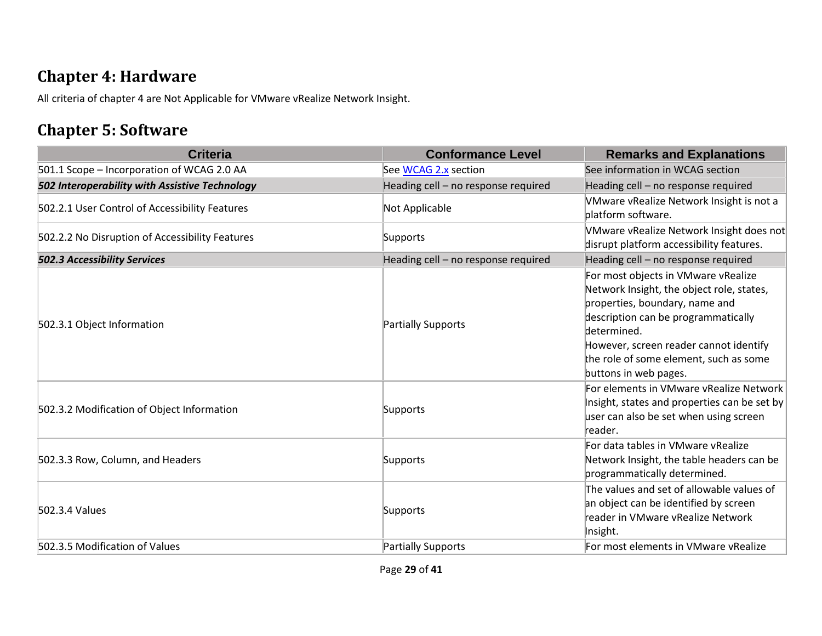#### **Chapter 4: Hardware**

All criteria of chapter 4 are Not Applicable for VMware vRealize Network Insight.

#### **Chapter 5: Software**

| <b>Criteria</b>                                 | <b>Conformance Level</b>            | <b>Remarks and Explanations</b>                                                                                                                                                                                                                                                       |
|-------------------------------------------------|-------------------------------------|---------------------------------------------------------------------------------------------------------------------------------------------------------------------------------------------------------------------------------------------------------------------------------------|
| 501.1 Scope - Incorporation of WCAG 2.0 AA      | See WCAG 2.x section                | See information in WCAG section                                                                                                                                                                                                                                                       |
| 502 Interoperability with Assistive Technology  | Heading cell - no response required | Heading cell - no response required                                                                                                                                                                                                                                                   |
| 502.2.1 User Control of Accessibility Features  | Not Applicable                      | VMware vRealize Network Insight is not a<br>platform software.                                                                                                                                                                                                                        |
| 502.2.2 No Disruption of Accessibility Features | Supports                            | VMware vRealize Network Insight does not<br>disrupt platform accessibility features.                                                                                                                                                                                                  |
| <b>502.3 Accessibility Services</b>             | Heading cell - no response required | Heading cell - no response required                                                                                                                                                                                                                                                   |
| 502.3.1 Object Information                      | Partially Supports                  | For most objects in VMware vRealize<br>Network Insight, the object role, states,<br>properties, boundary, name and<br>description can be programmatically<br>determined.<br>However, screen reader cannot identify<br>the role of some element, such as some<br>buttons in web pages. |
| 502.3.2 Modification of Object Information      | Supports                            | For elements in VMware vRealize Network<br>Insight, states and properties can be set by<br>user can also be set when using screen<br>reader.                                                                                                                                          |
| 502.3.3 Row, Column, and Headers                | Supports                            | For data tables in VMware vRealize<br>Network Insight, the table headers can be<br>programmatically determined.                                                                                                                                                                       |
| 502.3.4 Values                                  | Supports                            | The values and set of allowable values of<br>an object can be identified by screen<br>reader in VMware vRealize Network<br>Insight.                                                                                                                                                   |
| 502.3.5 Modification of Values                  | Partially Supports                  | For most elements in VMware vRealize                                                                                                                                                                                                                                                  |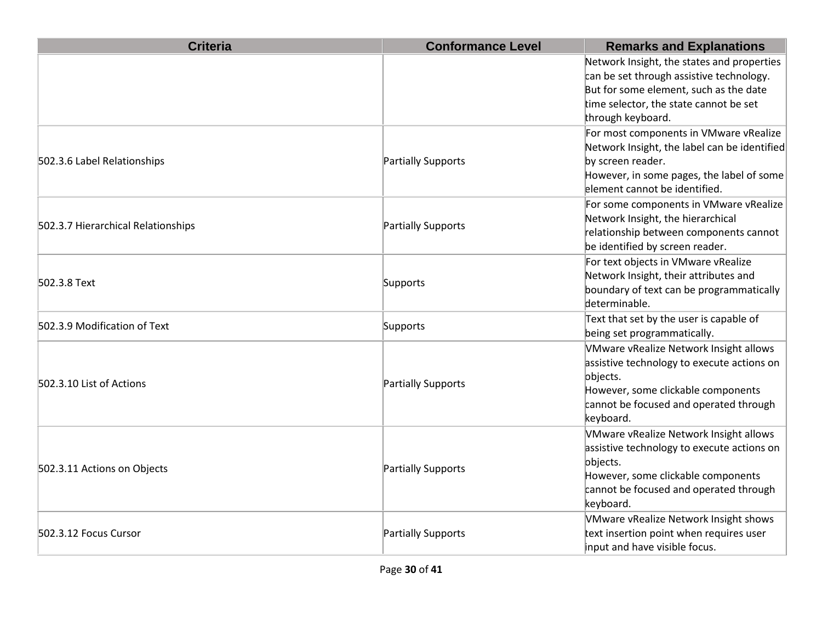| <b>Criteria</b>                    | <b>Conformance Level</b> | <b>Remarks and Explanations</b>                                                                                                                                                                 |
|------------------------------------|--------------------------|-------------------------------------------------------------------------------------------------------------------------------------------------------------------------------------------------|
|                                    |                          | Network Insight, the states and properties<br>can be set through assistive technology.<br>But for some element, such as the date<br>time selector, the state cannot be set<br>through keyboard. |
| 502.3.6 Label Relationships        | Partially Supports       | For most components in VMware vRealize<br>Network Insight, the label can be identified<br>by screen reader.<br>However, in some pages, the label of some<br>element cannot be identified.       |
| 502.3.7 Hierarchical Relationships | Partially Supports       | For some components in VMware vRealize<br>Network Insight, the hierarchical<br>relationship between components cannot<br>be identified by screen reader.                                        |
| 502.3.8 Text                       | Supports                 | For text objects in VMware vRealize<br>Network Insight, their attributes and<br>boundary of text can be programmatically<br>determinable.                                                       |
| 502.3.9 Modification of Text       | Supports                 | Text that set by the user is capable of<br>being set programmatically.                                                                                                                          |
| 502.3.10 List of Actions           | Partially Supports       | VMware vRealize Network Insight allows<br>assistive technology to execute actions on<br>objects.<br>However, some clickable components<br>cannot be focused and operated through<br>keyboard.   |
| 502.3.11 Actions on Objects        | Partially Supports       | VMware vRealize Network Insight allows<br>assistive technology to execute actions on<br>objects.<br>However, some clickable components<br>cannot be focused and operated through<br>keyboard.   |
| 502.3.12 Focus Cursor              | Partially Supports       | VMware vRealize Network Insight shows<br>text insertion point when requires user<br>input and have visible focus.                                                                               |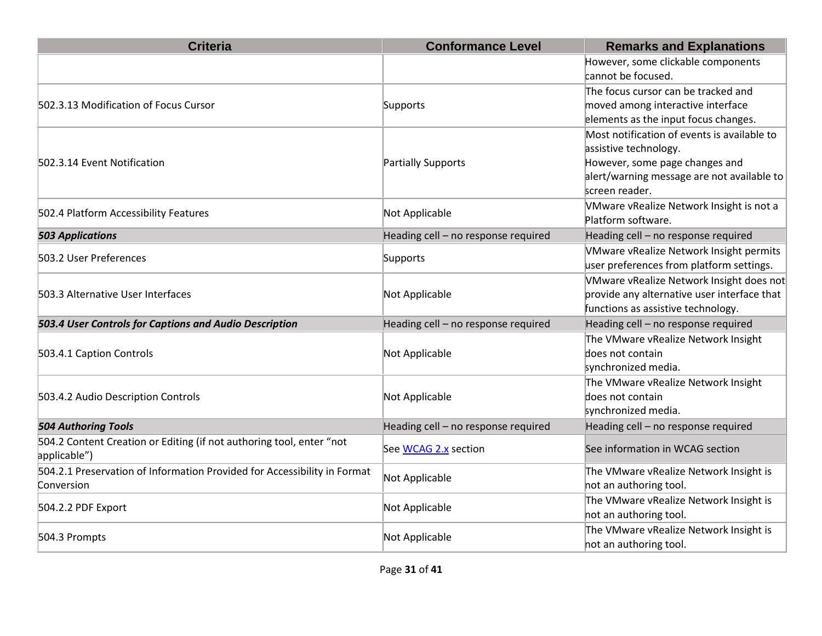| <b>Criteria</b>                                                                        | <b>Conformance Level</b>            | <b>Remarks and Explanations</b>                                                                                                                                        |
|----------------------------------------------------------------------------------------|-------------------------------------|------------------------------------------------------------------------------------------------------------------------------------------------------------------------|
|                                                                                        |                                     | However, some clickable components<br>cannot be focused.                                                                                                               |
| 502.3.13 Modification of Focus Cursor                                                  | Supports                            | The focus cursor can be tracked and<br>moved among interactive interface<br>elements as the input focus changes.                                                       |
| 502.3.14 Event Notification                                                            | Partially Supports                  | Most notification of events is available to<br>assistive technology.<br>However, some page changes and<br>alert/warning message are not available to<br>screen reader. |
| 502.4 Platform Accessibility Features                                                  | Not Applicable                      | VMware vRealize Network Insight is not a<br>Platform software.                                                                                                         |
| <b>503 Applications</b>                                                                | Heading cell - no response required | Heading cell - no response required                                                                                                                                    |
| 503.2 User Preferences                                                                 | Supports                            | <b>VMware vRealize Network Insight permits</b><br>user preferences from platform settings.                                                                             |
| 503.3 Alternative User Interfaces                                                      | Not Applicable                      | VMware vRealize Network Insight does not<br>provide any alternative user interface that<br>functions as assistive technology.                                          |
| 503.4 User Controls for Captions and Audio Description                                 | Heading cell - no response required | Heading cell - no response required                                                                                                                                    |
| 503.4.1 Caption Controls                                                               | Not Applicable                      | The VMware vRealize Network Insight<br>does not contain<br>synchronized media.                                                                                         |
| 503.4.2 Audio Description Controls                                                     | Not Applicable                      | The VMware vRealize Network Insight<br>does not contain<br>synchronized media.                                                                                         |
| <b>504 Authoring Tools</b>                                                             | Heading cell - no response required | Heading cell - no response required                                                                                                                                    |
| 504.2 Content Creation or Editing (if not authoring tool, enter "not<br>applicable")   | See WCAG 2.x section                | See information in WCAG section                                                                                                                                        |
| 504.2.1 Preservation of Information Provided for Accessibility in Format<br>Conversion | Not Applicable                      | The VMware vRealize Network Insight is<br>not an authoring tool.                                                                                                       |
| 504.2.2 PDF Export                                                                     | Not Applicable                      | The VMware vRealize Network Insight is<br>not an authoring tool.                                                                                                       |
| 504.3 Prompts                                                                          | Not Applicable                      | The VMware vRealize Network Insight is<br>not an authoring tool.                                                                                                       |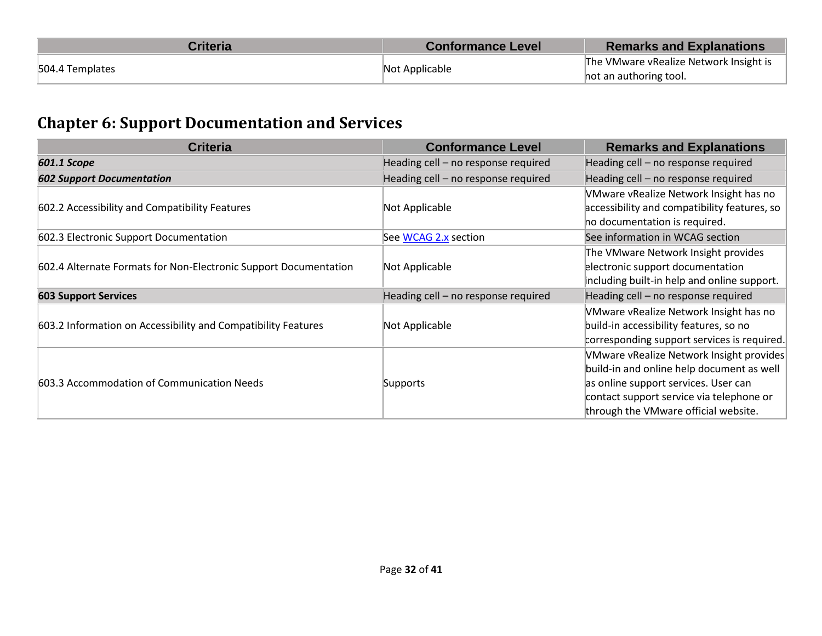| Criteria                          | <b>Conformance Level</b>               | <b>Remarks and Explanations</b> |
|-----------------------------------|----------------------------------------|---------------------------------|
| Not Applicable<br>504.4 Templates | The VMware vRealize Network Insight is |                                 |
|                                   |                                        | hot an authoring tool.          |

## **Chapter 6: Support Documentation and Services**

| <b>Criteria</b>                                                  | <b>Conformance Level</b>            | <b>Remarks and Explanations</b>              |
|------------------------------------------------------------------|-------------------------------------|----------------------------------------------|
| 601.1 Scope                                                      | Heading cell - no response required | Heading cell - no response required          |
| <b>602 Support Documentation</b>                                 | Heading cell - no response required | Heading cell - no response required          |
|                                                                  |                                     | VMware vRealize Network Insight has no       |
| 602.2 Accessibility and Compatibility Features                   | Not Applicable                      | accessibility and compatibility features, so |
|                                                                  |                                     | ho documentation is required.                |
| 602.3 Electronic Support Documentation                           | See WCAG 2.x section                | See information in WCAG section              |
|                                                                  |                                     | The VMware Network Insight provides          |
| 602.4 Alternate Formats for Non-Electronic Support Documentation | Not Applicable                      | electronic support documentation             |
|                                                                  |                                     | including built-in help and online support.  |
| <b>603 Support Services</b>                                      | Heading cell - no response required | Heading cell - no response required          |
|                                                                  |                                     | VMware vRealize Network Insight has no       |
| 603.2 Information on Accessibility and Compatibility Features    | Not Applicable                      | build-in accessibility features, so no       |
|                                                                  |                                     | corresponding support services is required.  |
|                                                                  |                                     | VMware vRealize Network Insight provides     |
| 603.3 Accommodation of Communication Needs                       |                                     | build-in and online help document as well    |
|                                                                  | Supports                            | as online support services. User can         |
|                                                                  |                                     | contact support service via telephone or     |
|                                                                  |                                     | through the VMware official website.         |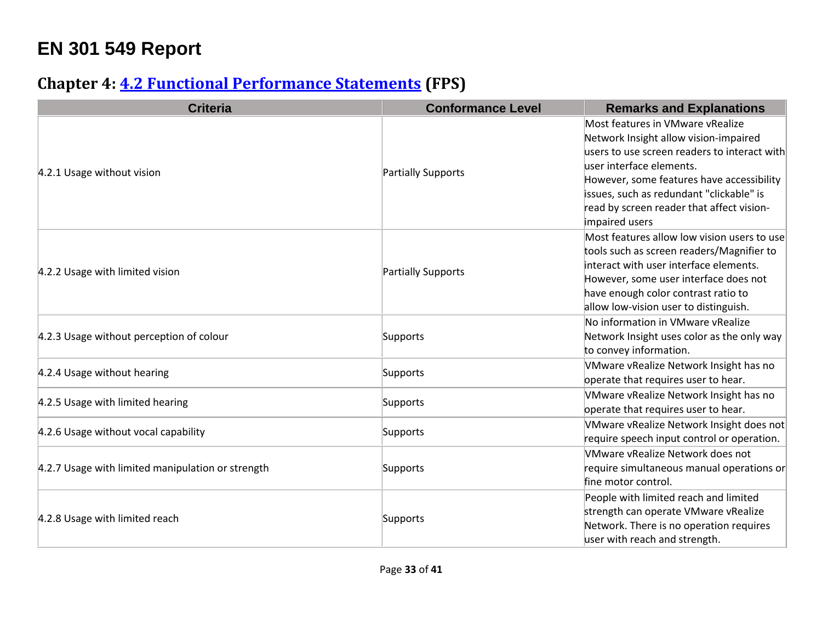# **EN 301 549 Report**

## **Chapter 4: [4.2 Functional Performance Statements](http://www.etsi.org/deliver/etsi_en/301500_301599/301549/01.01.02_60/en_301549v010102p.pdf#page=22) (FPS)**

| <b>Criteria</b>                                   | <b>Conformance Level</b> | <b>Remarks and Explanations</b>              |
|---------------------------------------------------|--------------------------|----------------------------------------------|
|                                                   |                          | Most features in VMware vRealize             |
|                                                   |                          | Network Insight allow vision-impaired        |
|                                                   |                          | users to use screen readers to interact with |
| 4.2.1 Usage without vision                        | Partially Supports       | user interface elements.                     |
|                                                   |                          | However, some features have accessibility    |
|                                                   |                          | issues, such as redundant "clickable" is     |
|                                                   |                          | read by screen reader that affect vision-    |
|                                                   |                          | impaired users                               |
|                                                   |                          | Most features allow low vision users to use  |
|                                                   |                          | tools such as screen readers/Magnifier to    |
| 4.2.2 Usage with limited vision                   | Partially Supports       | interact with user interface elements.       |
|                                                   |                          | However, some user interface does not        |
|                                                   |                          | have enough color contrast ratio to          |
|                                                   |                          | allow low-vision user to distinguish.        |
|                                                   |                          | No information in VMware vRealize            |
| 4.2.3 Usage without perception of colour          | Supports                 | Network Insight uses color as the only way   |
|                                                   |                          | to convey information.                       |
|                                                   |                          | VMware vRealize Network Insight has no       |
| 4.2.4 Usage without hearing                       | Supports                 | operate that requires user to hear.          |
|                                                   |                          | VMware vRealize Network Insight has no       |
| 4.2.5 Usage with limited hearing                  | Supports                 | operate that requires user to hear.          |
|                                                   |                          | VMware vRealize Network Insight does not     |
| 4.2.6 Usage without vocal capability              | Supports                 | require speech input control or operation.   |
|                                                   |                          | VMware vRealize Network does not             |
| 4.2.7 Usage with limited manipulation or strength | Supports                 | require simultaneous manual operations or    |
|                                                   |                          | fine motor control.                          |
| 4.2.8 Usage with limited reach                    |                          | People with limited reach and limited        |
|                                                   |                          | strength can operate VMware vRealize         |
|                                                   | Supports                 | Network. There is no operation requires      |
|                                                   |                          | user with reach and strength.                |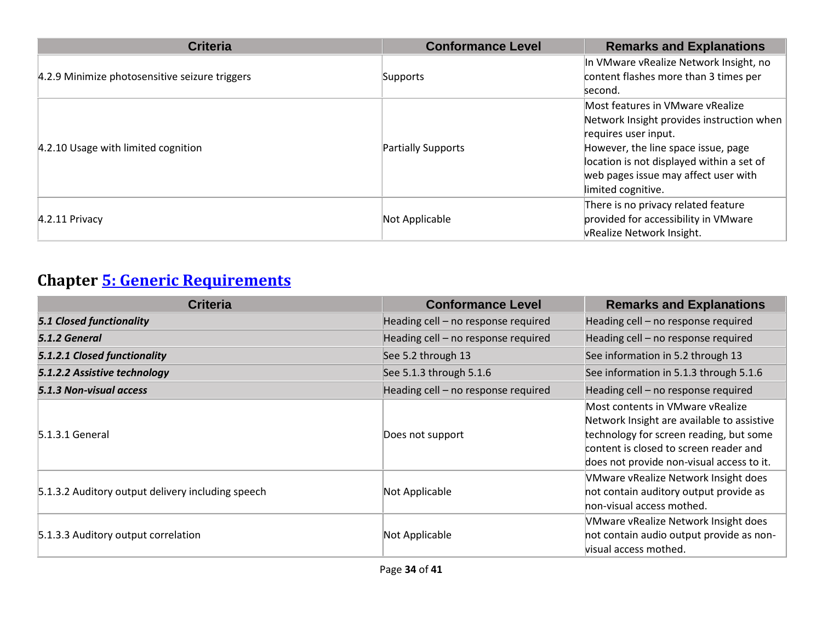| <b>Criteria</b>                                | <b>Conformance Level</b> | <b>Remarks and Explanations</b>           |
|------------------------------------------------|--------------------------|-------------------------------------------|
|                                                |                          | In VMware vRealize Network Insight, no    |
| 4.2.9 Minimize photosensitive seizure triggers | Supports                 | content flashes more than 3 times per     |
|                                                |                          | second.                                   |
|                                                |                          | Most features in VMware vRealize          |
|                                                |                          | Network Insight provides instruction when |
|                                                | Partially Supports       | requires user input.                      |
| 4.2.10 Usage with limited cognition            |                          | However, the line space issue, page       |
|                                                |                          | location is not displayed within a set of |
|                                                |                          | web pages issue may affect user with      |
|                                                |                          | limited cognitive.                        |
| $4.2.11$ Privacy                               |                          | There is no privacy related feature       |
|                                                | Not Applicable           | provided for accessibility in VMware      |
|                                                |                          | vRealize Network Insight.                 |

## **Chapter [5: Generic Requirements](http://www.etsi.org/deliver/etsi_en/301500_301599/301549/01.01.02_60/en_301549v010102p.pdf#page=23)**

| <b>Criteria</b>                                   | <b>Conformance Level</b>            | <b>Remarks and Explanations</b>                                                                                                                                                                                  |
|---------------------------------------------------|-------------------------------------|------------------------------------------------------------------------------------------------------------------------------------------------------------------------------------------------------------------|
| <b>5.1 Closed functionality</b>                   | Heading cell - no response required | Heading cell - no response required                                                                                                                                                                              |
| 5.1.2 General                                     | Heading cell - no response required | Heading cell - no response required                                                                                                                                                                              |
| 5.1.2.1 Closed functionality                      | See 5.2 through 13                  | See information in 5.2 through 13                                                                                                                                                                                |
| 5.1.2.2 Assistive technology                      | See 5.1.3 through 5.1.6             | See information in 5.1.3 through 5.1.6                                                                                                                                                                           |
| 5.1.3 Non-visual access                           | Heading cell - no response required | Heading cell - no response required                                                                                                                                                                              |
| 5.1.3.1 General                                   | Does not support                    | Most contents in VMware vRealize<br>Network Insight are available to assistive<br>technology for screen reading, but some<br>content is closed to screen reader and<br>does not provide non-visual access to it. |
| 5.1.3.2 Auditory output delivery including speech | Not Applicable                      | VMware vRealize Network Insight does<br>not contain auditory output provide as<br>hon-visual access mothed.                                                                                                      |
| 5.1.3.3 Auditory output correlation               | Not Applicable                      | VMware vRealize Network Insight does<br>not contain audio output provide as non-<br>visual access mothed.                                                                                                        |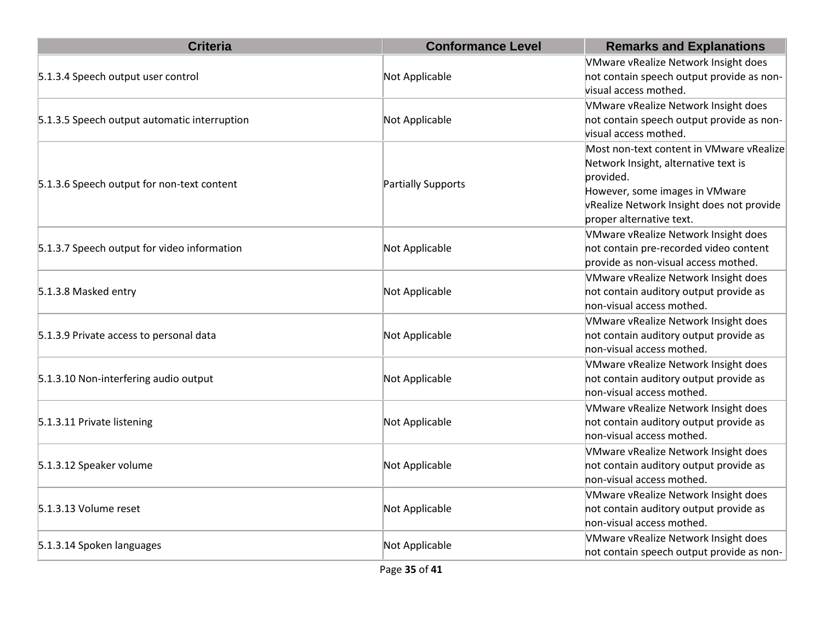| <b>Criteria</b>                              | <b>Conformance Level</b>  | <b>Remarks and Explanations</b>                                                                                                                                                                          |
|----------------------------------------------|---------------------------|----------------------------------------------------------------------------------------------------------------------------------------------------------------------------------------------------------|
| 5.1.3.4 Speech output user control           | Not Applicable            | VMware vRealize Network Insight does<br>not contain speech output provide as non-<br>visual access mothed.                                                                                               |
| 5.1.3.5 Speech output automatic interruption | Not Applicable            | VMware vRealize Network Insight does<br>not contain speech output provide as non-<br>visual access mothed.                                                                                               |
| 5.1.3.6 Speech output for non-text content   | <b>Partially Supports</b> | Most non-text content in VMware vRealize<br>Network Insight, alternative text is<br>provided.<br>However, some images in VMware<br>vRealize Network Insight does not provide<br>proper alternative text. |
| 5.1.3.7 Speech output for video information  | Not Applicable            | VMware vRealize Network Insight does<br>not contain pre-recorded video content<br>provide as non-visual access mothed.                                                                                   |
| 5.1.3.8 Masked entry                         | Not Applicable            | VMware vRealize Network Insight does<br>not contain auditory output provide as<br>non-visual access mothed.                                                                                              |
| 5.1.3.9 Private access to personal data      | Not Applicable            | VMware vRealize Network Insight does<br>not contain auditory output provide as<br>non-visual access mothed.                                                                                              |
| 5.1.3.10 Non-interfering audio output        | Not Applicable            | VMware vRealize Network Insight does<br>not contain auditory output provide as<br>non-visual access mothed.                                                                                              |
| 5.1.3.11 Private listening                   | Not Applicable            | VMware vRealize Network Insight does<br>not contain auditory output provide as<br>non-visual access mothed.                                                                                              |
| 5.1.3.12 Speaker volume                      | Not Applicable            | VMware vRealize Network Insight does<br>not contain auditory output provide as<br>non-visual access mothed.                                                                                              |
| 5.1.3.13 Volume reset                        | Not Applicable            | VMware vRealize Network Insight does<br>not contain auditory output provide as<br>non-visual access mothed.                                                                                              |
| 5.1.3.14 Spoken languages                    | Not Applicable            | VMware vRealize Network Insight does<br>not contain speech output provide as non-                                                                                                                        |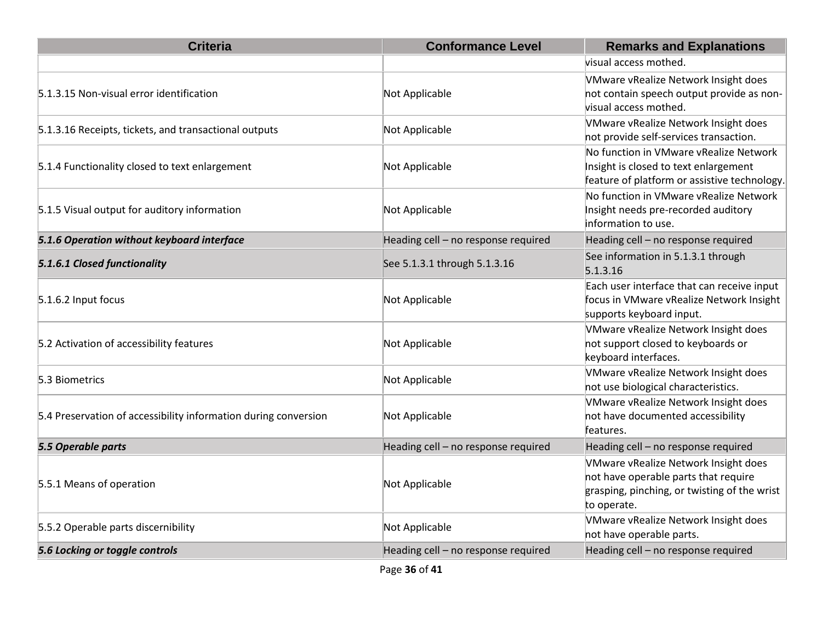| <b>Criteria</b>                                                 | <b>Conformance Level</b>            | <b>Remarks and Explanations</b>                                                                                                             |
|-----------------------------------------------------------------|-------------------------------------|---------------------------------------------------------------------------------------------------------------------------------------------|
|                                                                 |                                     | visual access mothed.                                                                                                                       |
| 5.1.3.15 Non-visual error identification                        | Not Applicable                      | VMware vRealize Network Insight does<br>not contain speech output provide as non-<br>visual access mothed.                                  |
| 5.1.3.16 Receipts, tickets, and transactional outputs           | Not Applicable                      | VMware vRealize Network Insight does<br>not provide self-services transaction.                                                              |
| 5.1.4 Functionality closed to text enlargement                  | Not Applicable                      | No function in VMware vRealize Network<br>Insight is closed to text enlargement<br>feature of platform or assistive technology.             |
| 5.1.5 Visual output for auditory information                    | Not Applicable                      | No function in VMware vRealize Network<br>Insight needs pre-recorded auditory<br>information to use.                                        |
| 5.1.6 Operation without keyboard interface                      | Heading cell - no response required | Heading cell - no response required                                                                                                         |
| 5.1.6.1 Closed functionality                                    | See 5.1.3.1 through 5.1.3.16        | See information in 5.1.3.1 through<br>5.1.3.16                                                                                              |
| 5.1.6.2 Input focus                                             | Not Applicable                      | Each user interface that can receive input<br>focus in VMware vRealize Network Insight<br>supports keyboard input.                          |
| 5.2 Activation of accessibility features                        | Not Applicable                      | VMware vRealize Network Insight does<br>not support closed to keyboards or<br>keyboard interfaces.                                          |
| 5.3 Biometrics                                                  | Not Applicable                      | VMware vRealize Network Insight does<br>not use biological characteristics.                                                                 |
| 5.4 Preservation of accessibility information during conversion | Not Applicable                      | VMware vRealize Network Insight does<br>not have documented accessibility<br>features.                                                      |
| 5.5 Operable parts                                              | Heading cell - no response required | Heading cell - no response required                                                                                                         |
| 5.5.1 Means of operation                                        | Not Applicable                      | VMware vRealize Network Insight does<br>not have operable parts that require<br>grasping, pinching, or twisting of the wrist<br>to operate. |
| 5.5.2 Operable parts discernibility                             | Not Applicable                      | VMware vRealize Network Insight does<br>not have operable parts.                                                                            |
| 5.6 Locking or toggle controls                                  | Heading cell - no response required | Heading cell - no response required                                                                                                         |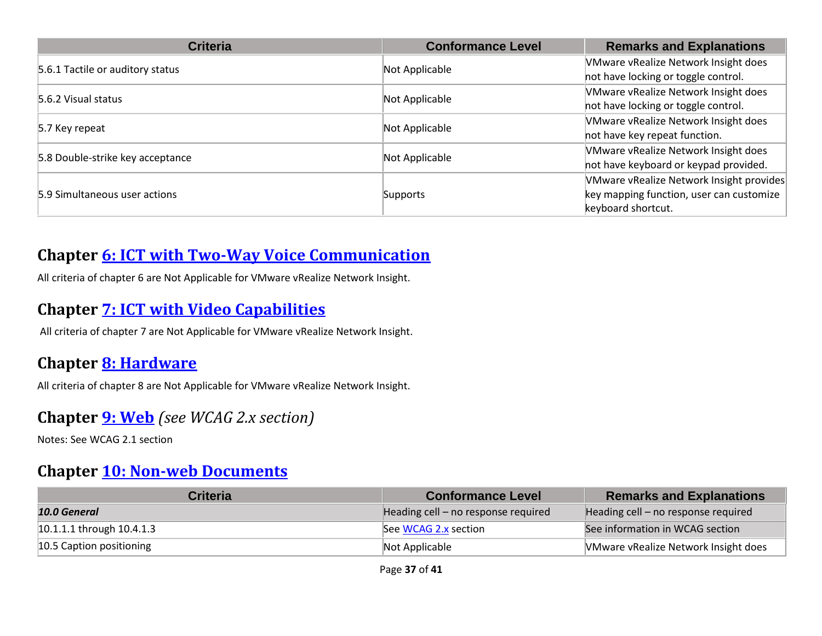| <b>Criteria</b>                       | <b>Conformance Level</b> | <b>Remarks and Explanations</b>          |
|---------------------------------------|--------------------------|------------------------------------------|
| 5.6.1 Tactile or auditory status      | Not Applicable           | VMware vRealize Network Insight does     |
|                                       |                          | not have locking or toggle control.      |
| 5.6.2 Visual status<br>Not Applicable |                          | VMware vRealize Network Insight does     |
|                                       |                          | not have locking or toggle control.      |
| 5.7 Key repeat                        | Not Applicable           | VMware vRealize Network Insight does     |
|                                       |                          | not have key repeat function.            |
| 5.8 Double-strike key acceptance      | Not Applicable           | VMware vRealize Network Insight does     |
|                                       |                          | not have keyboard or keypad provided.    |
| 5.9 Simultaneous user actions         | Supports                 | VMware vRealize Network Insight provides |
|                                       |                          | key mapping function, user can customize |
|                                       |                          | keyboard shortcut.                       |

#### **Chapter [6: ICT with Two-Way Voice Communication](http://www.etsi.org/deliver/etsi_en/301500_301599/301549/01.01.02_60/en_301549v010102p.pdf#page=28)**

All criteria of chapter 6 are Not Applicable for VMware vRealize Network Insight.

#### **Chapter 7: [ICT with Video Capabilities](http://www.etsi.org/deliver/etsi_en/301500_301599/301549/01.01.02_60/en_301549v010102p.pdf#page=31)**

All criteria of chapter 7 are Not Applicable for VMware vRealize Network Insight.

#### **Chapter [8: Hardware](http://www.etsi.org/deliver/etsi_en/301500_301599/301549/01.01.02_60/en_301549v010102p.pdf#page=32)**

All criteria of chapter 8 are Not Applicable for VMware vRealize Network Insight.

#### **Chapter [9: Web](http://www.etsi.org/deliver/etsi_en/301500_301599/301549/01.01.02_60/en_301549v010102p.pdf#page=39)** *(see WCAG 2.x section)*

Notes: See WCAG 2.1 section

#### **Chapter [10: Non-web Documents](http://www.etsi.org/deliver/etsi_en/301500_301599/301549/01.01.02_60/en_301549v010102p.pdf#page=43)**

| <b>Criteria</b>             | <b>Conformance Level</b>            | <b>Remarks and Explanations</b>             |
|-----------------------------|-------------------------------------|---------------------------------------------|
| 10.0 General                | Heading cell – no response required | Heading cell – no response required         |
| $10.1.1.1$ through 10.4.1.3 | See WCAG 2.x section                | See information in WCAG section             |
| 10.5 Caption positioning    | Not Applicable                      | <b>NMware vRealize Network Insight does</b> |

Page **37** of **41**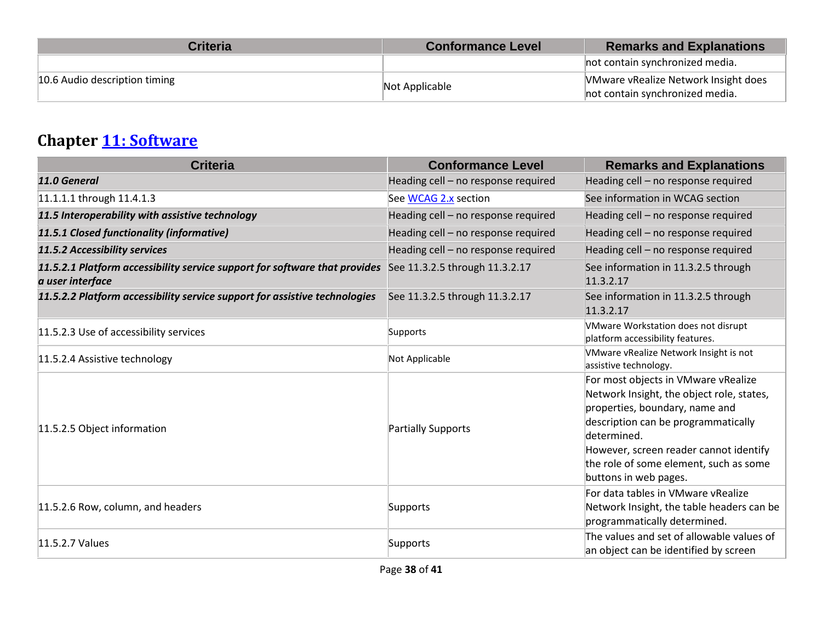| <b>Criteria</b>               | <b>Conformance Level</b> | <b>Remarks and Explanations</b>             |
|-------------------------------|--------------------------|---------------------------------------------|
|                               |                          | not contain synchronized media.             |
| 10.6 Audio description timing | Not Applicable           | <b>VMware vRealize Network Insight does</b> |
|                               |                          | not contain synchronized media.             |

## **Chapter [11: Software](http://www.etsi.org/deliver/etsi_en/301500_301599/301549/01.01.02_60/en_301549v010102p.pdf#page=53)**

| <b>Criteria</b>                                                                                | <b>Conformance Level</b>            | <b>Remarks and Explanations</b>                                                                                                                                                                                                                                                       |
|------------------------------------------------------------------------------------------------|-------------------------------------|---------------------------------------------------------------------------------------------------------------------------------------------------------------------------------------------------------------------------------------------------------------------------------------|
| 11.0 General                                                                                   | Heading cell - no response required | Heading cell - no response required                                                                                                                                                                                                                                                   |
| 11.1.1.1 through 11.4.1.3                                                                      | See WCAG 2.x section                | See information in WCAG section                                                                                                                                                                                                                                                       |
| 11.5 Interoperability with assistive technology                                                | Heading cell - no response required | Heading cell - no response required                                                                                                                                                                                                                                                   |
| 11.5.1 Closed functionality (informative)                                                      | Heading cell - no response required | Heading cell - no response required                                                                                                                                                                                                                                                   |
| 11.5.2 Accessibility services                                                                  | Heading cell - no response required | Heading cell - no response required                                                                                                                                                                                                                                                   |
| 11.5.2.1 Platform accessibility service support for software that provides<br>a user interface | See 11.3.2.5 through 11.3.2.17      | See information in 11.3.2.5 through<br>11.3.2.17                                                                                                                                                                                                                                      |
| 11.5.2.2 Platform accessibility service support for assistive technologies                     | See 11.3.2.5 through 11.3.2.17      | See information in 11.3.2.5 through<br>11.3.2.17                                                                                                                                                                                                                                      |
| 11.5.2.3 Use of accessibility services                                                         | Supports                            | VMware Workstation does not disrupt<br>platform accessibility features.                                                                                                                                                                                                               |
| 11.5.2.4 Assistive technology                                                                  | Not Applicable                      | VMware vRealize Network Insight is not<br>assistive technology.                                                                                                                                                                                                                       |
| 11.5.2.5 Object information                                                                    | <b>Partially Supports</b>           | For most objects in VMware vRealize<br>Network Insight, the object role, states,<br>properties, boundary, name and<br>description can be programmatically<br>determined.<br>However, screen reader cannot identify<br>the role of some element, such as some<br>buttons in web pages. |
| 11.5.2.6 Row, column, and headers                                                              | Supports                            | For data tables in VMware vRealize<br>Network Insight, the table headers can be<br>programmatically determined.                                                                                                                                                                       |
| 11.5.2.7 Values                                                                                | Supports                            | The values and set of allowable values of<br>an object can be identified by screen                                                                                                                                                                                                    |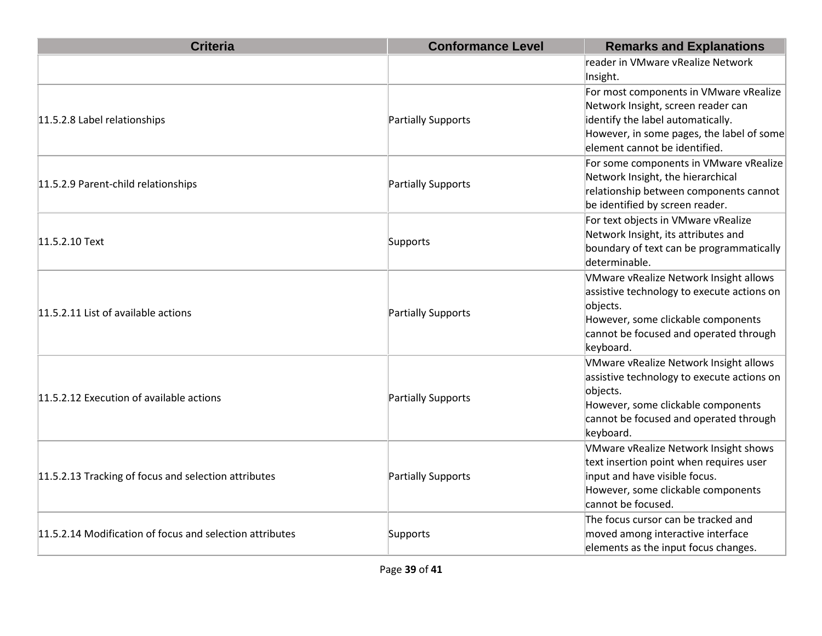| <b>Criteria</b>                                          | <b>Conformance Level</b> | <b>Remarks and Explanations</b>                                                                                                                                                                 |
|----------------------------------------------------------|--------------------------|-------------------------------------------------------------------------------------------------------------------------------------------------------------------------------------------------|
|                                                          |                          | reader in VMware vRealize Network<br>Insight.                                                                                                                                                   |
| 11.5.2.8 Label relationships                             | Partially Supports       | For most components in VMware vRealize<br>Network Insight, screen reader can<br>identify the label automatically.<br>However, in some pages, the label of some<br>element cannot be identified. |
| 11.5.2.9 Parent-child relationships                      | Partially Supports       | For some components in VMware vRealize<br>Network Insight, the hierarchical<br>relationship between components cannot<br>be identified by screen reader.                                        |
| 11.5.2.10 Text                                           | Supports                 | For text objects in VMware vRealize<br>Network Insight, its attributes and<br>boundary of text can be programmatically<br>determinable.                                                         |
| 11.5.2.11 List of available actions                      | Partially Supports       | VMware vRealize Network Insight allows<br>assistive technology to execute actions on<br>objects.<br>However, some clickable components<br>cannot be focused and operated through<br>keyboard.   |
| 11.5.2.12 Execution of available actions                 | Partially Supports       | VMware vRealize Network Insight allows<br>assistive technology to execute actions on<br>objects.<br>However, some clickable components<br>cannot be focused and operated through<br>keyboard.   |
| 11.5.2.13 Tracking of focus and selection attributes     | Partially Supports       | <b>VMware vRealize Network Insight shows</b><br>text insertion point when requires user<br>input and have visible focus.<br>However, some clickable components<br>cannot be focused.            |
| 11.5.2.14 Modification of focus and selection attributes | Supports                 | The focus cursor can be tracked and<br>moved among interactive interface<br>elements as the input focus changes.                                                                                |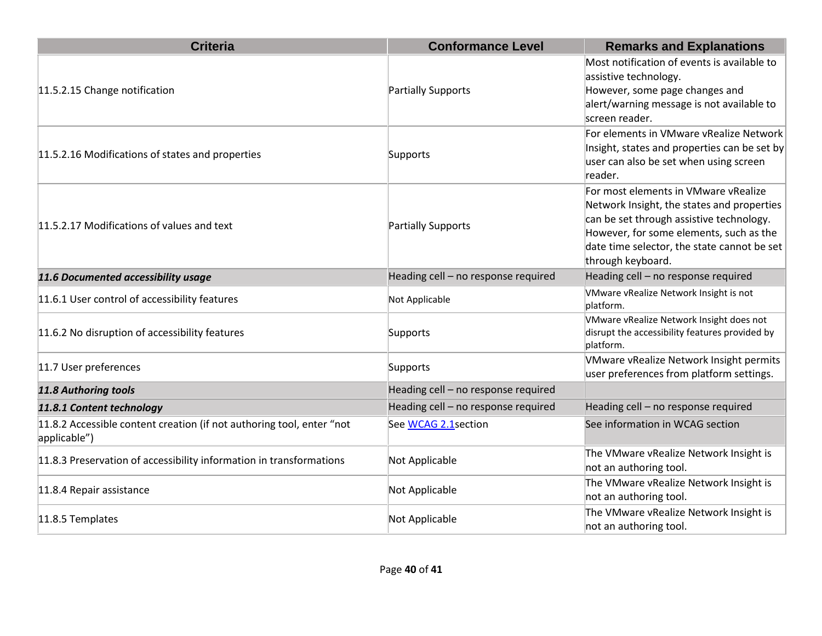| <b>Criteria</b>                                                                       | <b>Conformance Level</b>            | <b>Remarks and Explanations</b>                                                                                                                                                                                                               |
|---------------------------------------------------------------------------------------|-------------------------------------|-----------------------------------------------------------------------------------------------------------------------------------------------------------------------------------------------------------------------------------------------|
| 11.5.2.15 Change notification                                                         | Partially Supports                  | Most notification of events is available to<br>assistive technology.<br>However, some page changes and<br>alert/warning message is not available to<br>screen reader.                                                                         |
| 11.5.2.16 Modifications of states and properties                                      | Supports                            | For elements in VMware vRealize Network<br>Insight, states and properties can be set by<br>user can also be set when using screen<br>reader.                                                                                                  |
| 11.5.2.17 Modifications of values and text                                            | Partially Supports                  | For most elements in VMware vRealize<br>Network Insight, the states and properties<br>can be set through assistive technology.<br>However, for some elements, such as the<br>date time selector, the state cannot be set<br>through keyboard. |
| 11.6 Documented accessibility usage                                                   | Heading cell - no response required | Heading cell - no response required                                                                                                                                                                                                           |
| 11.6.1 User control of accessibility features                                         | Not Applicable                      | VMware vRealize Network Insight is not<br>platform.                                                                                                                                                                                           |
| 11.6.2 No disruption of accessibility features                                        | Supports                            | VMware vRealize Network Insight does not<br>disrupt the accessibility features provided by<br>platform.                                                                                                                                       |
| 11.7 User preferences                                                                 | Supports                            | VMware vRealize Network Insight permits<br>user preferences from platform settings.                                                                                                                                                           |
| 11.8 Authoring tools                                                                  | Heading cell - no response required |                                                                                                                                                                                                                                               |
| 11.8.1 Content technology                                                             | Heading cell - no response required | Heading cell - no response required                                                                                                                                                                                                           |
| 11.8.2 Accessible content creation (if not authoring tool, enter "not<br>applicable") | See WCAG 2.1 section                | See information in WCAG section                                                                                                                                                                                                               |
| 11.8.3 Preservation of accessibility information in transformations                   | Not Applicable                      | The VMware vRealize Network Insight is<br>not an authoring tool.                                                                                                                                                                              |
| 11.8.4 Repair assistance                                                              | Not Applicable                      | The VMware vRealize Network Insight is<br>not an authoring tool.                                                                                                                                                                              |
| 11.8.5 Templates                                                                      | Not Applicable                      | The VMware vRealize Network Insight is<br>not an authoring tool.                                                                                                                                                                              |